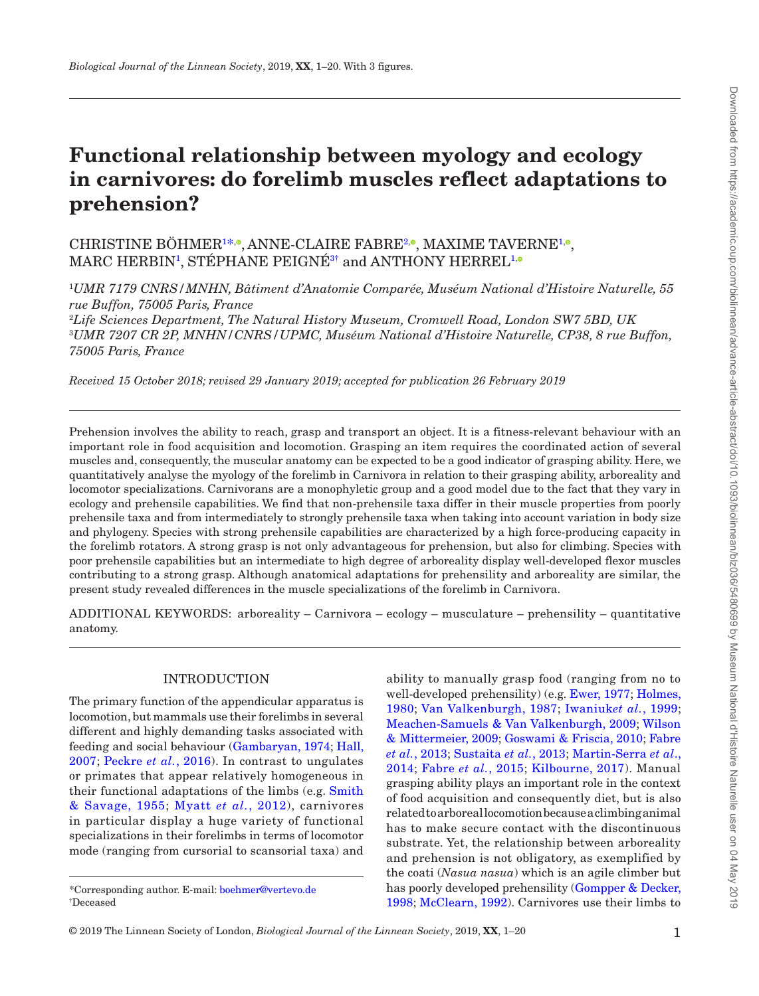# **Functional relationship between myology and ecology in carnivores: do forelimb muscles reflect adaptations to prehension?**

CHRISTINE BOHMER<sup>1[\\*](#page-0-0)[,](http://orcid.org/0000-0003-3355-6200)</sup>®, ANNE-CLAIRE FABRE<sup>[2](#page-0-1),</sup>®, MAXIME TAVERNE<sup>1,</sup>®,  $\rm MARC~HERBIN^{1},$  $\rm MARC~HERBIN^{1},$  $\rm MARC~HERBIN^{1},$  $\rm MARC~HERBIN^{1},$   $\rm STEPHANE~PEIGNE^{3+}$  and  $\rm ANTHONY~HERREL^{1,0}$ 

<span id="page-0-0"></span>1 *UMR 7179 CNRS/MNHN, Bâtiment d'Anatomie Comparée, Muséum National d'Histoire Naturelle, 55 rue Buffon, 75005 Paris, France*

<span id="page-0-2"></span><span id="page-0-1"></span>2 *Life Sciences Department, The Natural History Museum, Cromwell Road, London SW7 5BD, UK* 3 *UMR 7207 CR 2P, MNHN/CNRS/UPMC, Muséum National d'Histoire Naturelle, CP38, 8 rue Buffon, 75005 Paris, France*

*Received 15 October 2018; revised 29 January 2019; accepted for publication 26 February 2019*

Prehension involves the ability to reach, grasp and transport an object. It is a fitness-relevant behaviour with an important role in food acquisition and locomotion. Grasping an item requires the coordinated action of several muscles and, consequently, the muscular anatomy can be expected to be a good indicator of grasping ability. Here, we quantitatively analyse the myology of the forelimb in Carnivora in relation to their grasping ability, arboreality and locomotor specializations. Carnivorans are a monophyletic group and a good model due to the fact that they vary in ecology and prehensile capabilities. We find that non-prehensile taxa differ in their muscle properties from poorly prehensile taxa and from intermediately to strongly prehensile taxa when taking into account variation in body size and phylogeny. Species with strong prehensile capabilities are characterized by a high force-producing capacity in the forelimb rotators. A strong grasp is not only advantageous for prehension, but also for climbing. Species with poor prehensile capabilities but an intermediate to high degree of arboreality display well-developed flexor muscles contributing to a strong grasp. Although anatomical adaptations for prehensility and arboreality are similar, the present study revealed differences in the muscle specializations of the forelimb in Carnivora.

ADDITIONAL KEYWORDS: arboreality – Carnivora – ecology – musculature – prehensility – quantitative anatomy.

# INTRODUCTION

The primary function of the appendicular apparatus is locomotion, but mammals use their forelimbs in several different and highly demanding tasks associated with feeding and social behaviour ([Gambaryan, 1974](#page-16-0); [Hall,](#page-16-1) [2007;](#page-16-1) [Peckre](#page-18-0) *et al.*, 2016). In contrast to ungulates or primates that appear relatively homogeneous in their functional adaptations of the limbs (e.g. [Smith](#page-18-1) [& Savage, 1955](#page-18-1); [Myatt](#page-18-2) *et al.*, 2012), carnivores in particular display a huge variety of functional specializations in their forelimbs in terms of locomotor mode (ranging from cursorial to scansorial taxa) and

ability to manually grasp food (ranging from no to well-developed prehensility) (e.g. [Ewer, 1977;](#page-16-2) [Holmes,](#page-17-0) [1980](#page-17-0); [Van Valkenburgh, 1987](#page-19-0); [Iwaniuk](#page-17-1)*et al.*, 1999; [Meachen-Samuels & Van Valkenburgh, 2009](#page-18-3); [Wilson](#page-19-1) [& Mittermeier, 2009](#page-19-1); [Goswami & Friscia, 2010](#page-16-3); [Fabre](#page-16-4) *et al.*[, 2013](#page-16-4); [Sustaita](#page-19-2) *et al.*, 2013; [Martin-Serra](#page-17-2) *et al*., [2014](#page-17-2); [Fabre](#page-16-5) *et al.*, 2015; [Kilbourne, 2017](#page-17-3)). Manual grasping ability plays an important role in the context of food acquisition and consequently diet, but is also related to arboreal locomotion because a climbing animal has to make secure contact with the discontinuous substrate. Yet, the relationship between arboreality and prehension is not obligatory, as exemplified by the coati (*Nasua nasua*) which is an agile climber but has poorly developed prehensility [\(Gompper & Decker,](#page-16-6) [1998](#page-16-6); [McClearn, 1992](#page-17-4)). Carnivores use their limbs to

<sup>\*</sup>Corresponding author. E-mail: [boehmer@vertevo.de](mailto:boehmer@vertevo.de?subject=) † Deceased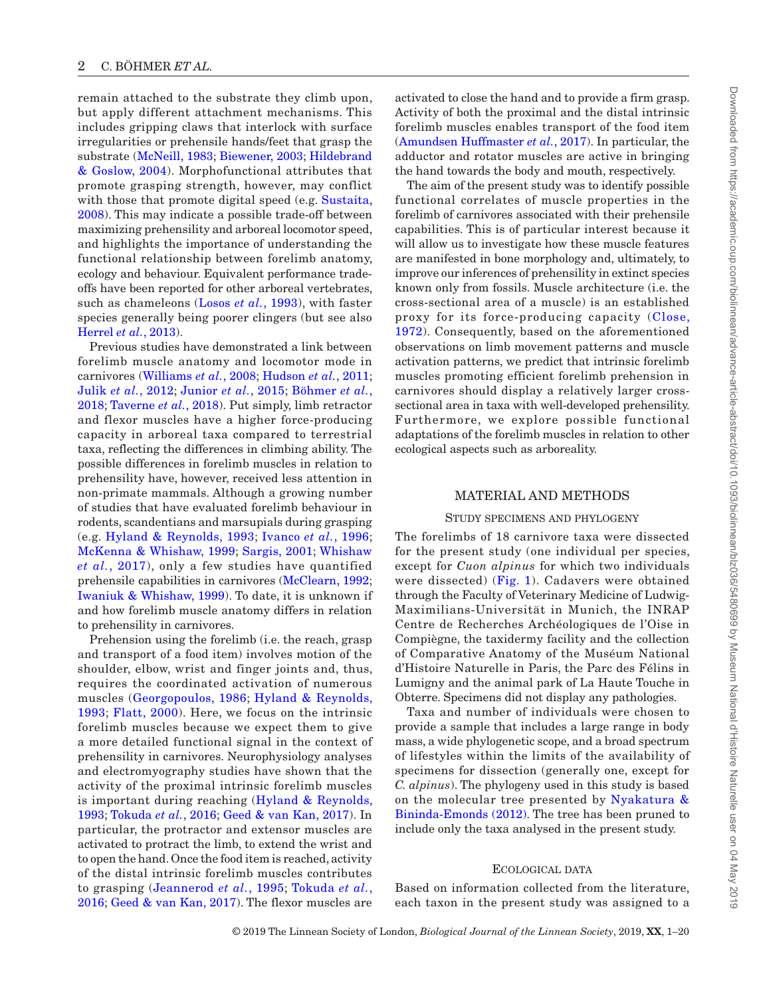remain attached to the substrate they climb upon, but apply different attachment mechanisms. This includes gripping claws that interlock with surface irregularities or prehensile hands/feet that grasp the substrate ([McNeill, 1983](#page-18-4); [Biewener, 2003;](#page-16-7) [Hildebrand](#page-16-8) [& Goslow, 2004](#page-16-8)). Morphofunctional attributes that promote grasping strength, however, may conflict with those that promote digital speed (e.g. [Sustaita,](#page-19-3) [2008\)](#page-19-3). This may indicate a possible trade-off between maximizing prehensility and arboreal locomotor speed, and highlights the importance of understanding the functional relationship between forelimb anatomy, ecology and behaviour. Equivalent performance tradeoffs have been reported for other arboreal vertebrates, such as chameleons ([Losos](#page-17-5) *et al.*, 1993), with faster species generally being poorer clingers (but see also [Herrel](#page-16-9) *et al.*, 2013).

Previous studies have demonstrated a link between forelimb muscle anatomy and locomotor mode in carnivores [\(Williams](#page-19-4) *et al.*, 2008; [Hudson](#page-17-6) *et al.*, 2011; Julik *et al.*[, 2012](#page-17-7); [Junior](#page-17-8) *et al.*, 2015; [Böhmer](#page-16-10) *et al.*, [2018;](#page-16-10) [Taverne](#page-19-5) *et al.*, 2018). Put simply, limb retractor and flexor muscles have a higher force-producing capacity in arboreal taxa compared to terrestrial taxa, reflecting the differences in climbing ability. The possible differences in forelimb muscles in relation to prehensility have, however, received less attention in non-primate mammals. Although a growing number of studies that have evaluated forelimb behaviour in rodents, scandentians and marsupials during grasping (e.g. [Hyland & Reynolds, 1993;](#page-17-9) [Ivanco](#page-17-10) *et al.*, 1996; [McKenna & Whishaw, 1999;](#page-17-11) [Sargis, 2001;](#page-18-5) [Whishaw](#page-19-6) *et al.*[, 2017\)](#page-19-6), only a few studies have quantified prehensile capabilities in carnivores [\(McClearn, 1992;](#page-17-4) [Iwaniuk & Whishaw, 1999](#page-17-12)). To date, it is unknown if and how forelimb muscle anatomy differs in relation to prehensility in carnivores.

Prehension using the forelimb (i.e. the reach, grasp and transport of a food item) involves motion of the shoulder, elbow, wrist and finger joints and, thus, requires the coordinated activation of numerous muscles ([Georgopoulos, 1986;](#page-16-11) [Hyland & Reynolds,](#page-17-9) [1993;](#page-17-9) [Flatt, 2000\)](#page-16-12). Here, we focus on the intrinsic forelimb muscles because we expect them to give a more detailed functional signal in the context of prehensility in carnivores. Neurophysiology analyses and electromyography studies have shown that the activity of the proximal intrinsic forelimb muscles is important during reaching ([Hyland & Reynolds,](#page-17-9) [1993;](#page-17-9) [Tokuda](#page-19-7) *et al.*, 2016; [Geed & van Kan, 2017](#page-16-13)). In particular, the protractor and extensor muscles are activated to protract the limb, to extend the wrist and to open the hand. Once the food item is reached, activity of the distal intrinsic forelimb muscles contributes to grasping [\(Jeannerod](#page-17-13) *et al.*, 1995; [Tokuda](#page-19-7) *et al.*, [2016;](#page-19-7) [Geed & van Kan, 2017](#page-16-13)). The flexor muscles are

activated to close the hand and to provide a firm grasp. Activity of both the proximal and the distal intrinsic forelimb muscles enables transport of the food item [\(Amundsen Huffmaster](#page-15-0) *et al.*, 2017). In particular, the adductor and rotator muscles are active in bringing the hand towards the body and mouth, respectively.

The aim of the present study was to identify possible functional correlates of muscle properties in the forelimb of carnivores associated with their prehensile capabilities. This is of particular interest because it will allow us to investigate how these muscle features are manifested in bone morphology and, ultimately, to improve our inferences of prehensility in extinct species known only from fossils. Muscle architecture (i.e. the cross-sectional area of a muscle) is an established proxy for its force-producing capacity ([Close,](#page-16-14) [1972\)](#page-16-14). Consequently, based on the aforementioned observations on limb movement patterns and muscle activation patterns, we predict that intrinsic forelimb muscles promoting efficient forelimb prehension in carnivores should display a relatively larger crosssectional area in taxa with well-developed prehensility. Furthermore, we explore possible functional adaptations of the forelimb muscles in relation to other ecological aspects such as arboreality.

#### MATERIAL AND METHODS

### Study specimens and phylogeny

The forelimbs of 18 carnivore taxa were dissected for the present study (one individual per species, except for *Cuon alpinus* for which two individuals were dissected) ([Fig. 1](#page-2-0)). Cadavers were obtained through the Faculty of Veterinary Medicine of Ludwig-Maximilians-Universität in Munich, the INRAP Centre de Recherches Archéologiques de l'Oise in Compiègne, the taxidermy facility and the collection of Comparative Anatomy of the Muséum National d'Histoire Naturelle in Paris, the Parc des Félins in Lumigny and the animal park of La Haute Touche in Obterre. Specimens did not display any pathologies.

Taxa and number of individuals were chosen to provide a sample that includes a large range in body mass, a wide phylogenetic scope, and a broad spectrum of lifestyles within the limits of the availability of specimens for dissection (generally one, except for *C. alpinus*). The phylogeny used in this study is based on the molecular tree presented by [Nyakatura &](#page-18-6) [Bininda-Emonds \(2012\)](#page-18-6). The tree has been pruned to include only the taxa analysed in the present study.

## Ecological data

Based on information collected from the literature, each taxon in the present study was assigned to a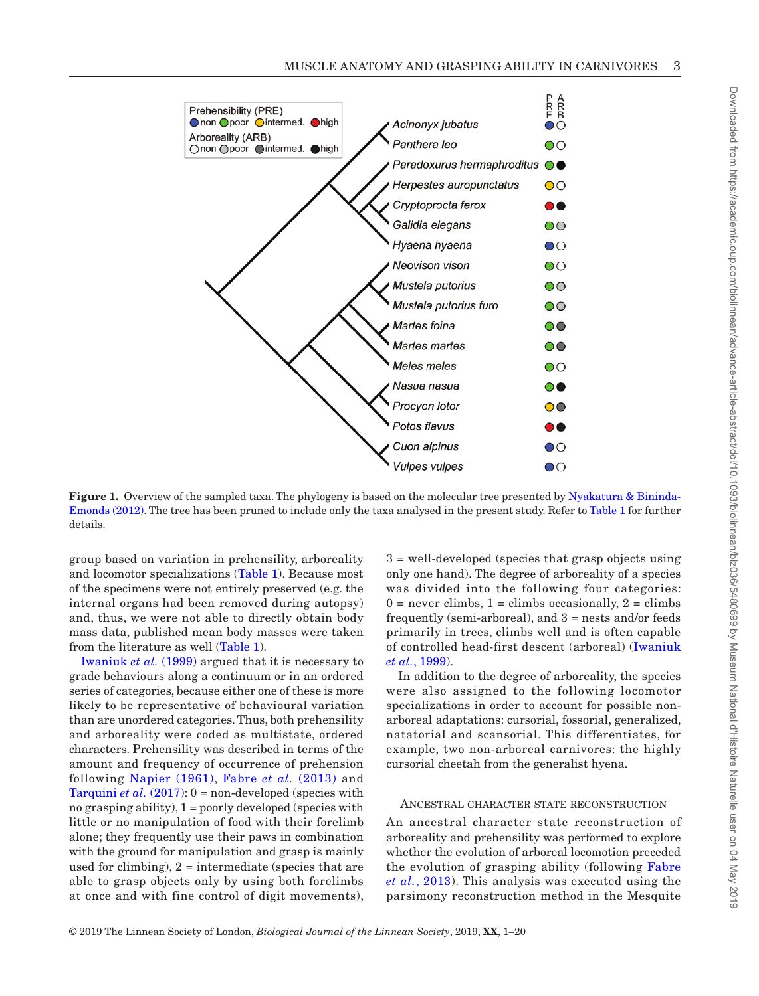

**Figure 1.** Overview of the sampled taxa. The phylogeny is based on the molecular tree presented by [Nyakatura & Bininda-](#page-18-6)[Emonds \(2012\).](#page-18-6) The tree has been pruned to include only the taxa analysed in the present study. Refer to [Table 1](#page-3-0) for further details.

group based on variation in prehensility, arboreality and locomotor specializations ([Table 1](#page-3-0)). Because most of the specimens were not entirely preserved (e.g. the internal organs had been removed during autopsy) and, thus, we were not able to directly obtain body mass data, published mean body masses were taken from the literature as well [\(Table 1\)](#page-3-0).

[Iwaniuk](#page-17-1) *et al.* (1999) argued that it is necessary to grade behaviours along a continuum or in an ordered series of categories, because either one of these is more likely to be representative of behavioural variation than are unordered categories. Thus, both prehensility and arboreality were coded as multistate, ordered characters. Prehensility was described in terms of the amount and frequency of occurrence of prehension following [Napier \(1961\)](#page-18-7), Fabre *et al.* [\(2013\)](#page-16-4) and [Tarquini](#page-19-8) *et al.* (2017): 0 = non-developed (species with no grasping ability),  $1 =$  poorly developed (species with little or no manipulation of food with their forelimb alone; they frequently use their paws in combination with the ground for manipulation and grasp is mainly used for climbing),  $2 =$  intermediate (species that are able to grasp objects only by using both forelimbs at once and with fine control of digit movements),

<span id="page-2-0"></span>3 = well-developed (species that grasp objects using only one hand). The degree of arboreality of a species was divided into the following four categories:  $0 =$  never climbs,  $1 =$  climbs occasionally,  $2 =$  climbs frequently (semi-arboreal), and 3 = nests and/or feeds primarily in trees, climbs well and is often capable of controlled head-first descent (arboreal) [\(Iwaniuk](#page-17-1) *et al.*[, 1999](#page-17-1)).

In addition to the degree of arboreality, the species were also assigned to the following locomotor specializations in order to account for possible nonarboreal adaptations: cursorial, fossorial, generalized, natatorial and scansorial. This differentiates, for example, two non-arboreal carnivores: the highly cursorial cheetah from the generalist hyena.

# Ancestral character state reconstruction

An ancestral character state reconstruction of arboreality and prehensility was performed to explore whether the evolution of arboreal locomotion preceded the evolution of grasping ability (following [Fabre](#page-16-4) *et al.*[, 2013](#page-16-4)). This analysis was executed using the parsimony reconstruction method in the Mesquite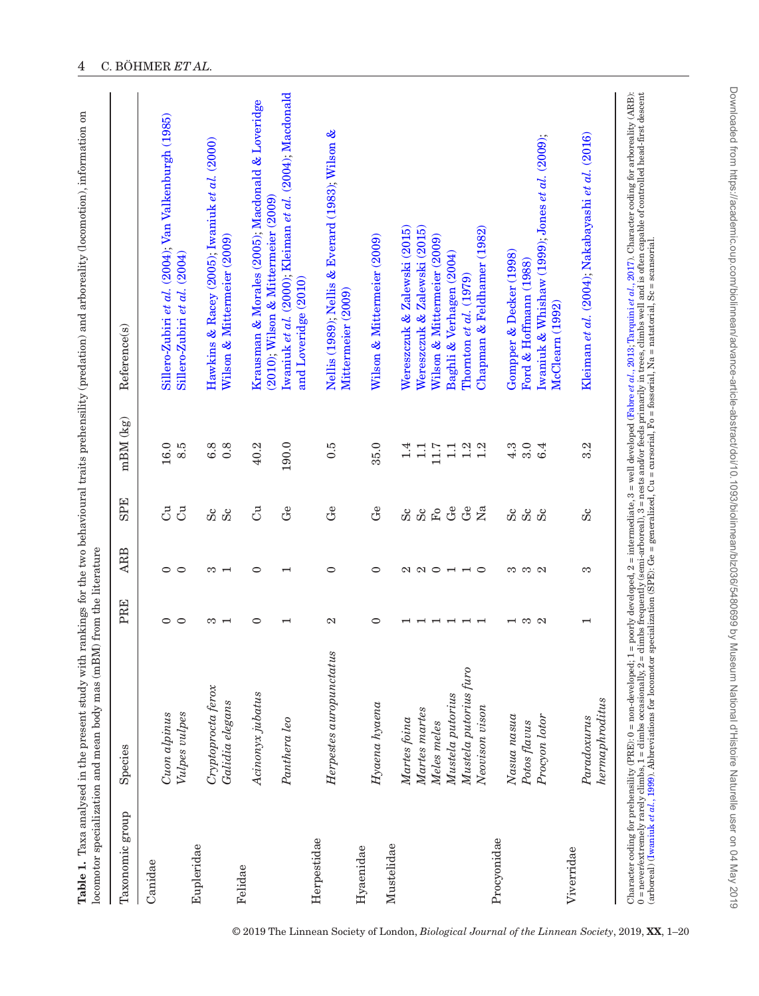| Taxonomic group | Species                       | PRE               | <b>ARB</b>                                                                                                                                             | <b>SPE</b>              | $mBM$ $(kg)$                          | Reference(s)                                                                                 |
|-----------------|-------------------------------|-------------------|--------------------------------------------------------------------------------------------------------------------------------------------------------|-------------------------|---------------------------------------|----------------------------------------------------------------------------------------------|
| Canidae         |                               |                   |                                                                                                                                                        |                         |                                       |                                                                                              |
|                 | Cuon alpinus                  | 0                 | $\circ$                                                                                                                                                | ්                       | 16.0                                  | Sillero-Zubiri et al. (2004); Van Valkenburgh (1985)                                         |
|                 | Vulpes vulpes                 | $\circ$           | $\circ$                                                                                                                                                | Cu                      | 8.5                                   | Sillero-Zubiri et al. (2004)                                                                 |
| Eupleridae      | Cryptoprocta ferox            | ಣ                 | က                                                                                                                                                      | $S_{\rm C}$             | 6.8                                   | Hawkins & Racey (2005); Iwaniuk et al. (2000)                                                |
|                 | Galidia elegans               |                   | $\overline{ }$                                                                                                                                         | $\infty$                | $0.\overline{8}$                      | Wilson & Mittermeier (2009)                                                                  |
| Felidae         |                               |                   |                                                                                                                                                        |                         |                                       |                                                                                              |
|                 | Acinonyx jubatus              | 0                 | 0                                                                                                                                                      | 5u                      | 40.2                                  | Krausman & Morales (2005); Macdonald & Loveridge<br>$(2010)$ : Wilson & Mittermeier $(2009)$ |
|                 | Panthera leo                  |                   | ⊣                                                                                                                                                      | ප්                      | 190.0                                 | Iwaniuk et al. (2000); Kleiman et al. (2004); Macdonald<br>and Loveridge (2010)              |
| Herpestidae     |                               |                   |                                                                                                                                                        |                         |                                       |                                                                                              |
|                 | S<br>Herpestes auropunctatu   | $\mathbf{\Omega}$ | 0                                                                                                                                                      | ජ්                      | $0.\overline{5}$                      | Nellis (1989); Nellis & Everard (1983); Wilson &<br>Mittermeier (2009)                       |
| Hyaenidae       |                               |                   |                                                                                                                                                        |                         |                                       |                                                                                              |
|                 | $Hyaena$ $hyaena$             | 0                 | $\circ$                                                                                                                                                | පි                      | 35.0                                  | Wilson & Mittermeier (2009)                                                                  |
| Mustelidae      |                               |                   |                                                                                                                                                        |                         |                                       |                                                                                              |
|                 | Martes foina                  |                   |                                                                                                                                                        | $S_{\rm C}$             |                                       | Wereszczuk & Zalewski (2015)                                                                 |
|                 | Martes martes                 |                   |                                                                                                                                                        | $\mathbf{S} \mathbf{c}$ |                                       | Wereszczuk & Zalewski (2015)                                                                 |
|                 | Meles meles                   |                   |                                                                                                                                                        | $_{\rm Fo}$             |                                       | Wilson & Mittermeier (2009)                                                                  |
|                 | Mustela putorius              |                   | $\begin{array}{c} \mathcal{O} \quad \mathcal{O} \quad \mathcal{O} \quad \mathcal{O} \quad \mathcal{O} \quad \mathcal{O} \quad \mathcal{O} \end{array}$ | Ge                      | $1.17$<br>$1.17$<br>$1.1$             | Baghli & Verhagen (2004)                                                                     |
|                 | Mustela putorius furo         |                   |                                                                                                                                                        | $\mathbf{G}$ e          | $\begin{array}{c} 2 \\ 1 \end{array}$ | Thornton et al. (1979)                                                                       |
|                 | Neovison vison                |                   |                                                                                                                                                        | $\mathbb{R}^a$          |                                       | Chapman & Feldhamer (1982)                                                                   |
| Procyonidae     |                               |                   |                                                                                                                                                        |                         |                                       |                                                                                              |
|                 | Nasua nasua                   |                   |                                                                                                                                                        | $\infty$                | 4.3                                   | Gompper & Decker (1998)                                                                      |
|                 | Potos flavus                  | က လ               | က က လ                                                                                                                                                  | $rac{c}{\infty}$        | 3.0                                   | Ford & Hoffmann (1988)                                                                       |
|                 | Procyon lotor                 |                   |                                                                                                                                                        |                         | 6.4                                   | Iwaniuk & Whishaw (1999); Jones et al. (2009);                                               |
|                 |                               |                   |                                                                                                                                                        |                         |                                       | McClearn (1992)                                                                              |
| Viverridae      |                               |                   |                                                                                                                                                        |                         |                                       |                                                                                              |
|                 | hermaphroditus<br>Paradoxurus |                   | က                                                                                                                                                      | $\infty$                | 3.2                                   | Kleiman et al. (2004); Nakabayashi et al. (2016)                                             |
|                 |                               |                   |                                                                                                                                                        |                         |                                       |                                                                                              |

<span id="page-3-0"></span>© 2019 The Linnean Society of London, *Biological Journal of the Linnean Society*, 2019, **XX**, 1–20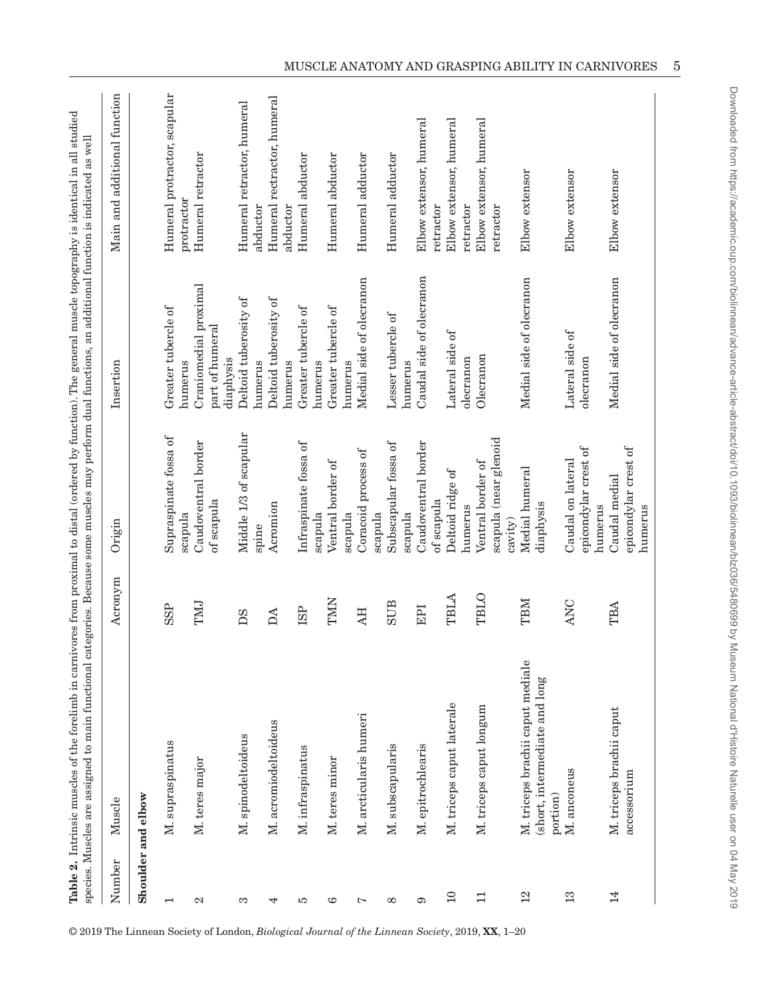<span id="page-4-0"></span>

| Number                   | Muscle                                                                        | Acronym     | Origin                                                 | Insertion                        | Main and additional function            |
|--------------------------|-------------------------------------------------------------------------------|-------------|--------------------------------------------------------|----------------------------------|-----------------------------------------|
|                          | Shoulder and elbow                                                            |             |                                                        |                                  |                                         |
| $\overline{\phantom{0}}$ | M. supraspinatus                                                              | <b>SSP</b>  | Supraspinate fossa of                                  | Greater tubercle of              | Humeral protractor, scapular            |
| $\mathbf{\Omega}$        | M. teres major                                                                | <b>LMT</b>  | Caudoventral border<br>scapula                         | Craniomedial proximal<br>humerus | Humeral retractor<br>protractor         |
|                          |                                                                               |             | of scapula                                             | part of humeral<br>diaphysis     |                                         |
| က                        | M. spinodeltoideus                                                            | DS          | Middle 1/3 of scapular                                 | Deltoid tuberosity of            | Humeral retractor, humeral              |
|                          |                                                                               |             | spine                                                  | humerus                          | abductor                                |
| 4                        | M. acromiodeltoideus                                                          | DA          | Acromion                                               | Deltoid tuberosity of<br>humerus | Humeral rectractor, humeral<br>abductor |
| S                        | M. infraspinatus                                                              | ISP         | Infraspinate fossa of                                  | Greater tubercle of              | Humeral abductor                        |
|                          |                                                                               |             | scapula                                                | humerus                          |                                         |
| ల                        | M. teres minor                                                                | <b>TMN</b>  | Ventral border of<br>scapula                           | Greater tubercle of<br>humerus   | Humeral abductor                        |
| Ļ                        | M. arcticularis humeri                                                        | AH          | Coracoid process of<br>scapula                         | Medial side of olecranon         | Humeral adductor                        |
| $\infty$                 | M. subscapularis                                                              | <b>SUB</b>  | Subscapular fossa of                                   | Lesser tubercle of               | Humeral adductor                        |
|                          |                                                                               |             | scapula                                                | humerus                          |                                         |
| ငာ                       | M. epitrochlearis                                                             | <b>EEE</b>  | Caudoventral border<br>of scapula                      | Caudal side of olecranon         | Elbow extensor, humeral<br>retractor    |
| 10                       | M. triceps caput laterale                                                     | TBLA        | Deltoid ridge of<br>humerus                            | Lateral side of<br>olecranon     | Elbow extensor, humeral<br>retractor    |
| $\Box$                   | M. triceps caput longum                                                       | <b>TBLO</b> | Ventral border of                                      | Olecranon                        | Elbow extensor, humeral                 |
|                          |                                                                               |             | scapula (near glenoid<br>cavity                        |                                  | retractor                               |
| 12                       | M. triceps brachii caput mediale<br>(short, intermediate and long<br>portion) | <b>NBM</b>  | Medial humeral<br>diaphysis                            | Medial side of olecranon         | Elbow extensor                          |
| 13                       | M. anconeus                                                                   | <b>ANC</b>  | ð<br>epicondylar crest<br>Caudal on lateral<br>humerus | Lateral side of<br>olecranon     | Elbow extensor                          |
| 14                       | M. triceps brachii caput<br>accessorium                                       | TBA         | epicondylar crest of<br>Caudal medial                  | Medial side of olecranon         | Elbow extensor                          |
|                          |                                                                               |             | humerus                                                |                                  |                                         |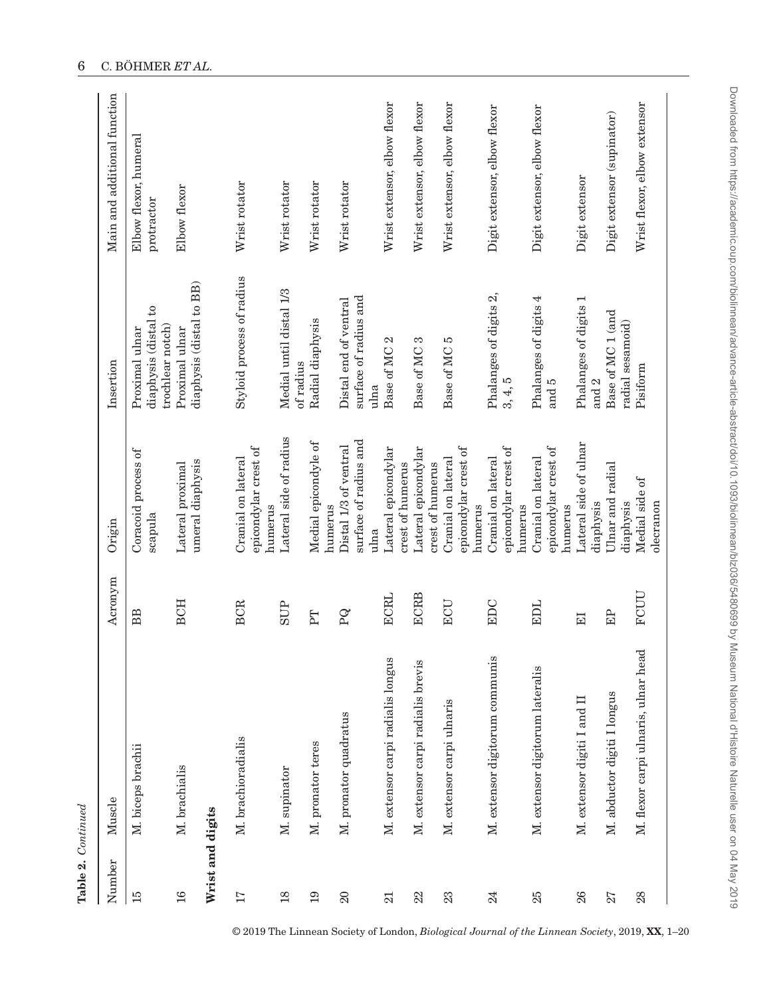| Number           | Muscle                              | Acronym     | Origin                                                 | Insertion                                                  | Main and additional function        |
|------------------|-------------------------------------|-------------|--------------------------------------------------------|------------------------------------------------------------|-------------------------------------|
| 15               | M. biceps brachii                   | <b>BB</b>   | Coracoid process of<br>scapula                         | diaphysis (distal to<br>trochlear notch)<br>Proximal ulnar | Elbow flexor, humeral<br>protractor |
| 16               | M. brachialis                       | <b>BCH</b>  | Lateral proximal                                       | Proximal ulnar                                             | Elbow flexor                        |
| Wrist and digits |                                     |             | umeral diaphysis                                       | diaphysis (distal to BB)                                   |                                     |
| 17               | M. brachioradialis                  | <b>BCR</b>  | epicondylar crest of<br>Cranial on lateral<br>humerus  | Styloid process of radius                                  | Wrist rotator                       |
| 18               | M. supinator                        | <b>SUP</b>  | Lateral side of radius                                 | Medial until distal 1/3<br>of radius                       | Wrist rotator                       |
| 19               | M. pronator teres                   | ET          | Medial epicondyle of<br>humerus                        | Radial diaphysis                                           | Wrist rotator                       |
| 20               | M. pronator quadratus               | PQ          | surface of radius and<br>Distal 1/3 of ventral<br>ulna | surface of radius and<br>Distal end of ventral<br>ulna     | Wrist rotator                       |
| 21               | M. extensor carpi radialis longus   | ECRL        | Lateral epicondylar<br>crest of humerus                | 2<br>Base of MC                                            | Wrist extensor, elbow flexor        |
| 22               | M. extensor carpi radialis brevis   | <b>ECRB</b> | Lateral epicondylar<br>crest of humerus                | S<br>Base of MC                                            | Wrist extensor, elbow flexor        |
| 23               | M. extensor carpi ulnaris           | ECU         | epicondylar crest of<br>Cranial on lateral<br>humerus  | Base of MC 5                                               | Wrist extensor, elbow flexor        |
| 24               | M. extensor digitorum communis      | EDC         | epicondylar crest of<br>Cranial on lateral<br>humerus  | Phalanges of digits 2,<br>3, 4, 5                          | Digit extensor, elbow flexor        |
| 25               | M. extensor digitorum lateralis     | <b>EDL</b>  | epicondylar crest of<br>Cranial on lateral<br>humerus  | Phalanges of digits 4<br>and 5                             | Digit extensor, elbow flexor        |
| 26               | M. extensor digiti I and II         | 囯           | Lateral side of ulnar<br>diaphysis                     | Phalanges of digits 1<br>and 2                             | Digit extensor                      |
| 27               | M. abductor digiti I longus         | EP          | Ulnar and radial<br>diaphysis                          | Base of MC <sub>1</sub> (and<br>radial sesamoid)           | Digit extensor (supinator)          |
| 28               | M. flexor carpi ulnaris, ulnar head | FCUU        | Medial side of<br>olecranon                            | Pisiform                                                   | Wrist flexor, elbow extensor        |

**Table 2.** *Continued*

Table 2. Continued

© 2019 The Linnean Society of London, *Biological Journal of the Linnean Society*, 2019, **XX**, 1–20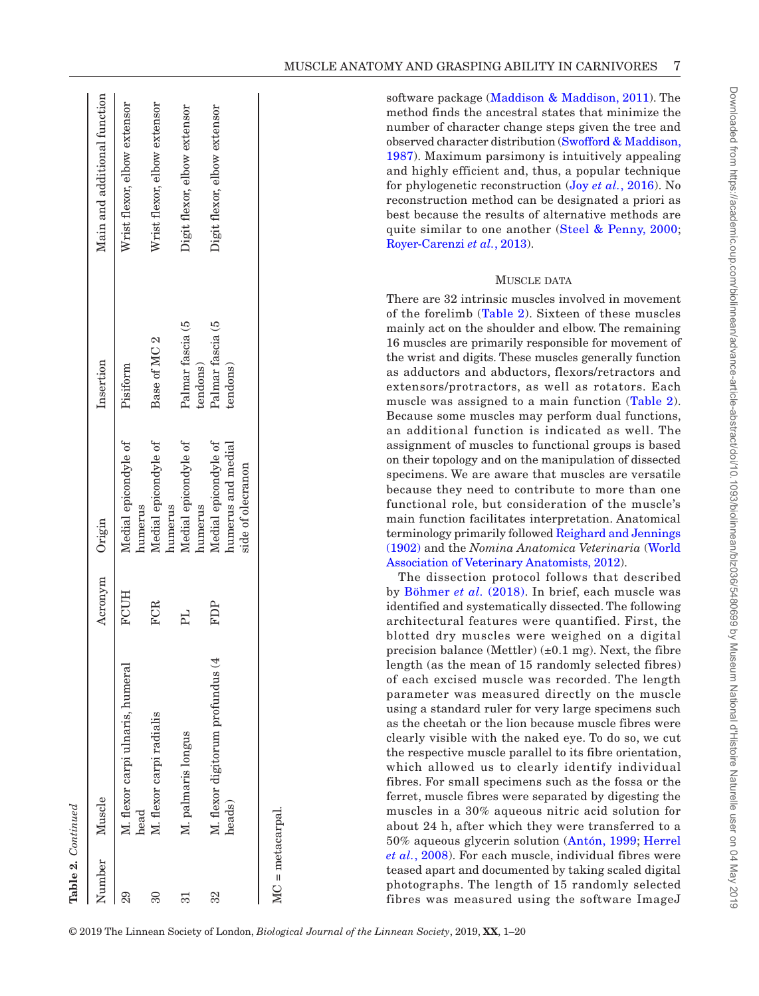| MUSCLE ANATOMY AND GRASPING ABILITY IN CARNIVORES |  |
|---------------------------------------------------|--|
|---------------------------------------------------|--|

software package ([Maddison & Maddison, 2011\)](#page-17-19). The method finds the ancestral states that minimize the number of character change steps given the tree and observed character distribution ([Swofford & Maddison,](#page-19-12) [1987\)](#page-19-12). Maximum parsimony is intuitively appealing and highly efficient and, thus, a popular technique for phylogenetic reconstruction (Joy *et al.*[, 2016](#page-17-20)). No reconstruction method can be designated a priori as best because the results of alternative methods are quite similar to one another ([Steel & Penny, 2000;](#page-18-12) [Royer-Carenzi](#page-18-13) *et al.*, 2013).

# MUSCLE DATA

There are 32 intrinsic muscles involved in movement of the forelimb ([Table 2\)](#page-4-0). Sixteen of these muscles mainly act on the shoulder and elbow. The remaining 16 muscles are primarily responsible for movement of the wrist and digits. These muscles generally function as adductors and abductors, flexors/retractors and extensors/protractors, as well as rotators. Each muscle was assigned to a main function ([Table 2\)](#page-4-0). Because some muscles may perform dual functions, an additional function is indicated as well. The assignment of muscles to functional groups is based on their topology and on the manipulation of dissected specimens. We are aware that muscles are versatile because they need to contribute to more than one functional role, but consideration of the muscle's main function facilitates interpretation. Anatomical terminology primarily followed [Reighard and Jennings](#page-18-14) [\(1902\)](#page-18-14) and the *Nomina Anatomica Veterinaria* ([World](#page-19-13) [Association of Veterinary Anatomists, 2012\)](#page-19-13).

The dissection protocol follows that described by [Böhmer](#page-16-10) *et al.* (2018). In brief, each muscle was identified and systematically dissected. The following architectural features were quantified. First, the blotted dry muscles were weighed on a digital precision balance (Mettler)  $(\pm 0.1 \text{ mg})$ . Next, the fibre length (as the mean of 15 randomly selected fibres) of each excised muscle was recorded. The length parameter was measured directly on the muscle using a standard ruler for very large specimens such as the cheetah or the lion because muscle fibres were clearly visible with the naked eye. To do so, we cut the respective muscle parallel to its fibre orientation, which allowed us to clearly identify individual fibres. For small specimens such as the fossa or the ferret, muscle fibres were separated by digesting the muscles in a 30% aqueous nitric acid solution for about 24 h, after which they were transferred to a 50% aqueous glycerin solution ([Antón, 1999;](#page-15-1) [Herrel](#page-16-19) *et al.*[, 2008\)](#page-16-19). For each muscle, individual fibres were teased apart and documented by taking scaled digital photographs. The length of 15 randomly selected fibres was measured using the software ImageJ

| Number Muscle |                                            | Acronym | Origin                                                          | Insertion                    | Main and additional function |
|---------------|--------------------------------------------|---------|-----------------------------------------------------------------|------------------------------|------------------------------|
| 29            | M. flexor carpi ulnaris, humeral<br>head   | FCUH    | Medial epicondyle of<br>humerus                                 | Pisiform                     | Wrist flexor, elbow extensor |
|               | M. flexor carpi radialis                   | FCR     | Medial epicondyle of<br>humerus                                 | Base of MC 2                 | Wrist flexor, elbow extensor |
|               | M. palmaris longus                         | 口       | Medial epicondyle of<br>humerus                                 | Palmar fascia (5<br>tendons) | Digit flexor, elbow extensor |
| 32            | M. flexor digitorum profundus (4<br>heads) | FDP     | Medial epicondyle of<br>humerus and medial<br>side of olecranon | Palmar fascia (5<br>cendons) | Digit flexor, elbow extensor |

MC = metacarpal.  $MC = metacarpal$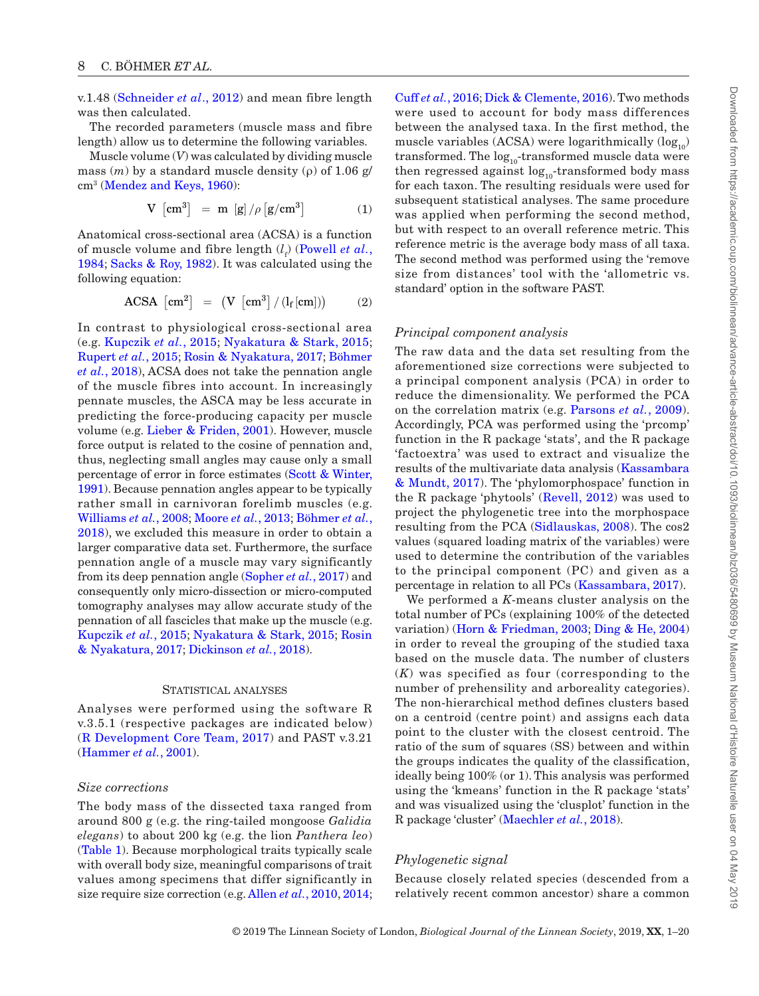v.1.48 [\(Schneider](#page-18-15) *et al*., 2012) and mean fibre length was then calculated.

The recorded parameters (muscle mass and fibre length) allow us to determine the following variables.

Muscle volume (*V*) was calculated by dividing muscle mass  $(m)$  by a standard muscle density  $(\rho)$  of 1.06 g/ cm3 ([Mendez and Keys, 1960\)](#page-18-3):

$$
V [cm3] = m [g]/\rho [g/cm3] \qquad (1)
$$

Anatomical cross-sectional area (ACSA) is a function of muscle volume and fibre length  $(l_f)$  ([Powell](#page-18-16) *et al.*, [1984;](#page-18-16) [Sacks & Roy, 1982](#page-18-17)). It was calculated using the following equation:

$$
\text{ACSA} \quad [\text{cm}^2] = (\text{V} \quad [\text{cm}^3] / (\text{l}_f [\text{cm}])) \tag{2}
$$

In contrast to physiological cross-sectional area (e.g. [Kupczik](#page-17-21) *et al.*, 2015; [Nyakatura & Stark, 2015;](#page-18-18) [Rupert](#page-18-19) *et al.*, 2015; [Rosin & Nyakatura, 2017](#page-18-20); [Böhmer](#page-16-10) *et al.*[, 2018](#page-16-10)), ACSA does not take the pennation angle of the muscle fibres into account. In increasingly pennate muscles, the ASCA may be less accurate in predicting the force-producing capacity per muscle volume (e.g. [Lieber & Friden, 2001](#page-17-22)). However, muscle force output is related to the cosine of pennation and, thus, neglecting small angles may cause only a small percentage of error in force estimates ([Scott & Winter,](#page-18-21) [1991\)](#page-18-21). Because pennation angles appear to be typically rather small in carnivoran forelimb muscles (e.g. [Williams](#page-19-4) *et al.*, 2008; [Moore](#page-18-22) *et al.*, 2013; [Böhmer](#page-16-10) *et al.*, [2018](#page-16-10)), we excluded this measure in order to obtain a larger comparative data set. Furthermore, the surface pennation angle of a muscle may vary significantly from its deep pennation angle ([Sopher](#page-18-23) *et al.*, 2017) and consequently only micro-dissection or micro-computed tomography analyses may allow accurate study of the pennation of all fascicles that make up the muscle (e.g. [Kupczik](#page-17-21) *et al.*, 2015; [Nyakatura & Stark, 2015;](#page-18-18) [Rosin](#page-18-20) [& Nyakatura, 2017](#page-18-20); [Dickinson](#page-16-20) *et al.*, 2018).

#### STATISTICAL ANALYSES

Analyses were performed using the software R v.3.5.1 (respective packages are indicated below) [\(R Development Core Team, 2017\)](#page-18-24) and PAST v.3.21 [\(Hammer](#page-16-21) *et al.*, 2001).

# *Size corrections*

The body mass of the dissected taxa ranged from around 800 g (e.g. the ring-tailed mongoose *Galidia elegans*) to about 200 kg (e.g. the lion *Panthera leo*) [\(Table 1\)](#page-3-0). Because morphological traits typically scale with overall body size, meaningful comparisons of trait values among specimens that differ significantly in size require size correction (e.g. Allen *et al.*[, 2010,](#page-15-2) [2014;](#page-15-3) Cuff *et al.*[, 2016;](#page-16-22) [Dick & Clemente, 2016](#page-16-23)). Two methods were used to account for body mass differences between the analysed taxa. In the first method, the muscle variables (ACSA) were logarithmically  $(log_{10})$ transformed. The  $log_{10}$ -transformed muscle data were then regressed against  $log_{10}$ -transformed body mass for each taxon. The resulting residuals were used for subsequent statistical analyses. The same procedure was applied when performing the second method, but with respect to an overall reference metric. This reference metric is the average body mass of all taxa. The second method was performed using the 'remove size from distances' tool with the 'allometric vs. standard' option in the software PAST.

#### *Principal component analysis*

The raw data and the data set resulting from the aforementioned size corrections were subjected to a principal component analysis (PCA) in order to reduce the dimensionality. We performed the PCA on the correlation matrix (e.g. [Parsons](#page-18-25) *et al.*, 2009). Accordingly, PCA was performed using the 'prcomp' function in the R package 'stats', and the R package 'factoextra' was used to extract and visualize the results of the multivariate data analysis [\(Kassambara](#page-17-23)  [& Mundt, 2017\)](#page-17-23). The 'phylomorphospace' function in the R package 'phytools' ([Revell, 2012](#page-18-26)) was used to project the phylogenetic tree into the morphospace resulting from the PCA ([Sidlauskas, 2008](#page-18-27)). The cos2 values (squared loading matrix of the variables) were used to determine the contribution of the variables to the principal component (PC) and given as a percentage in relation to all PCs ([Kassambara, 2017\)](#page-17-24).

We performed a *K*-means cluster analysis on the total number of PCs (explaining 100% of the detected variation) [\(Horn & Friedman, 2003](#page-17-25); [Ding & He, 2004\)](#page-16-24) in order to reveal the grouping of the studied taxa based on the muscle data. The number of clusters (*K*) was specified as four (corresponding to the number of prehensility and arboreality categories). The non-hierarchical method defines clusters based on a centroid (centre point) and assigns each data point to the cluster with the closest centroid. The ratio of the sum of squares (SS) between and within the groups indicates the quality of the classification, ideally being 100% (or 1). This analysis was performed using the 'kmeans' function in the R package 'stats' and was visualized using the 'clusplot' function in the R package 'cluster' ([Maechler](#page-17-26) *et al.*, 2018).

# *Phylogenetic signal*

Because closely related species (descended from a relatively recent common ancestor) share a common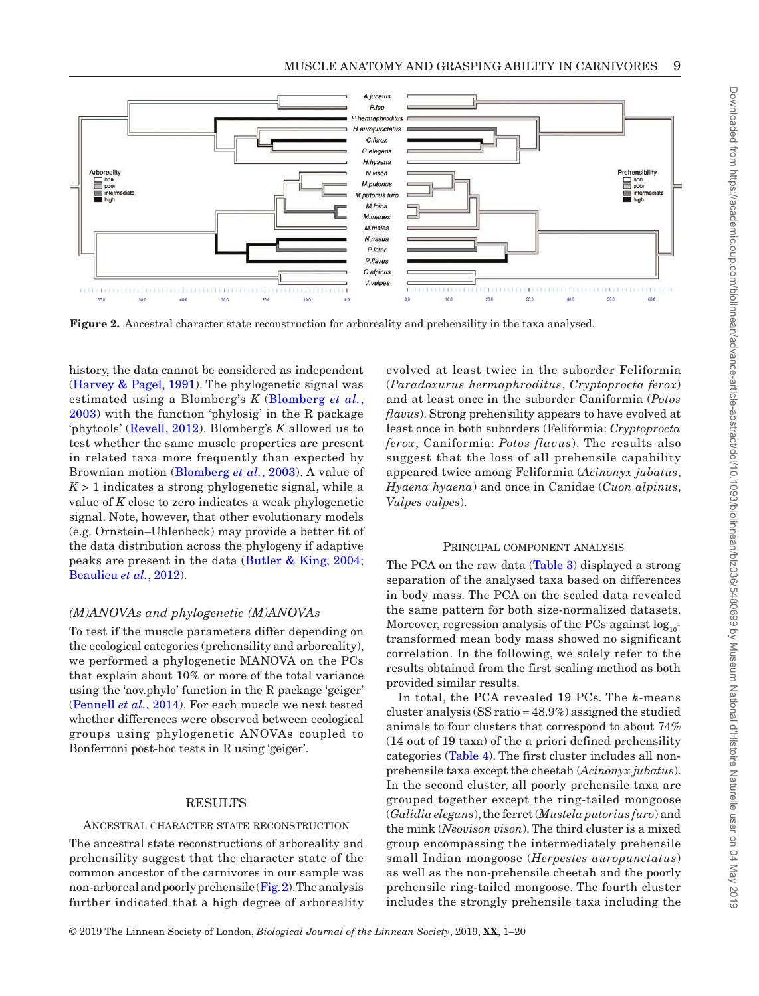

<span id="page-8-0"></span>**Figure 2.** Ancestral character state reconstruction for arboreality and prehensility in the taxa analysed.

history, the data cannot be considered as independent [\(Harvey & Pagel, 1991](#page-16-25)). The phylogenetic signal was estimated using a Blomberg's *K* ([Blomberg](#page-16-26) *et al.*, [2003\)](#page-16-26) with the function 'phylosig' in the R package 'phytools' ([Revell, 2012](#page-18-26)). Blomberg's *K* allowed us to test whether the same muscle properties are present in related taxa more frequently than expected by Brownian motion ([Blomberg](#page-16-26) *et al.*, 2003). A value of  $K > 1$  indicates a strong phylogenetic signal, while a value of *K* close to zero indicates a weak phylogenetic signal. Note, however, that other evolutionary models (e.g. Ornstein–Uhlenbeck) may provide a better fit of the data distribution across the phylogeny if adaptive peaks are present in the data ([Butler & King, 2004;](#page-16-27) [Beaulieu](#page-16-28) *et al.*, 2012).

# *(M)ANOVAs and phylogenetic (M)ANOVAs*

To test if the muscle parameters differ depending on the ecological categories (prehensility and arboreality), we performed a phylogenetic MANOVA on the PCs that explain about 10% or more of the total variance using the 'aov.phylo' function in the R package 'geiger' [\(Pennell](#page-18-28) *et al.*, 2014). For each muscle we next tested whether differences were observed between ecological groups using phylogenetic ANOVAs coupled to Bonferroni post-hoc tests in R using 'geiger'.

# RESULTS

### Ancestral character state reconstruction

The ancestral state reconstructions of arboreality and prehensility suggest that the character state of the common ancestor of the carnivores in our sample was non-arboreal and poorly prehensile [\(Fig. 2](#page-8-0)). The analysis further indicated that a high degree of arboreality

evolved at least twice in the suborder Feliformia (*Paradoxurus hermaphroditus*, *Cryptoprocta ferox*) and at least once in the suborder Caniformia (*Potos flavus*). Strong prehensility appears to have evolved at least once in both suborders (Feliformia: *Cryptoprocta ferox*, Caniformia: *Potos flavus*). The results also suggest that the loss of all prehensile capability appeared twice among Feliformia (*Acinonyx jubatus*, *Hyaena hyaena*) and once in Canidae (*Cuon alpinus*, *Vulpes vulpes*).

## Principal component analysis

The PCA on the raw data [\(Table 3\)](#page-9-0) displayed a strong separation of the analysed taxa based on differences in body mass. The PCA on the scaled data revealed the same pattern for both size-normalized datasets. Moreover, regression analysis of the PCs against  $log_{10}$ transformed mean body mass showed no significant correlation. In the following, we solely refer to the results obtained from the first scaling method as both provided similar results.

In total, the PCA revealed 19 PCs. The *k*-means cluster analysis (SS ratio = 48.9%) assigned the studied animals to four clusters that correspond to about 74% (14 out of 19 taxa) of the a priori defined prehensility categories [\(Table 4\)](#page-11-0). The first cluster includes all nonprehensile taxa except the cheetah (*Acinonyx jubatus*). In the second cluster, all poorly prehensile taxa are grouped together except the ring-tailed mongoose (*Galidia elegans*), the ferret (*Mustela putorius furo*) and the mink (*Neovison vison*). The third cluster is a mixed group encompassing the intermediately prehensile small Indian mongoose (*Herpestes auropunctatus*) as well as the non-prehensile cheetah and the poorly prehensile ring-tailed mongoose. The fourth cluster includes the strongly prehensile taxa including the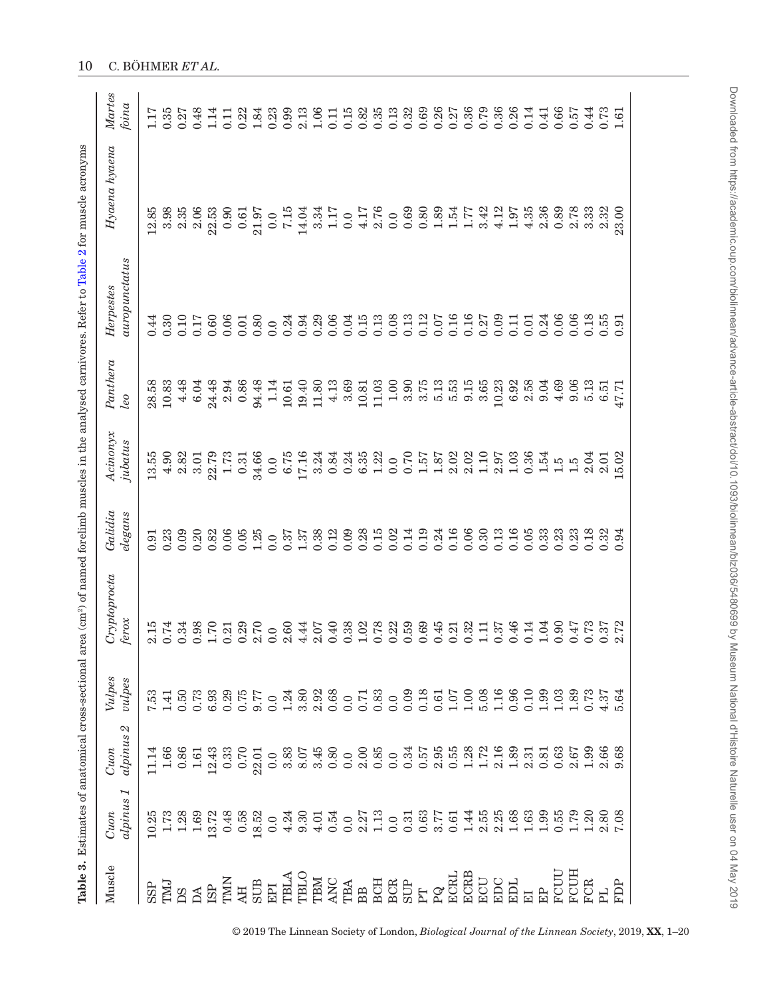| Muscle | I<br>alpinus<br>Cuon                                           | S<br>alpinus<br>Cuon                                                        | Vulpes<br>vulpes                     | $C$ ryptoprocta<br>ferox             | Galidia<br>elegans                                            | Acinonyx<br>jubatus                         | $\it Parthera$<br>leo                                | auropunctatus<br>Herpestes                                                    | $H$ yaena hyaena                           | Martes<br>foina        |
|--------|----------------------------------------------------------------|-----------------------------------------------------------------------------|--------------------------------------|--------------------------------------|---------------------------------------------------------------|---------------------------------------------|------------------------------------------------------|-------------------------------------------------------------------------------|--------------------------------------------|------------------------|
|        |                                                                |                                                                             |                                      |                                      | 0.91                                                          | 13.55                                       |                                                      | 0.44                                                                          | 12.85                                      | $1.17$                 |
|        | $\begin{array}{c} 10.25 \\ 1.73 \\ 1.28 \\ 1.3.72 \end{array}$ | はお後はお話でいい。 いいはいのの思い おけの話 さいほう ほうのうぶつ はいのはい こうしょう こうしょう こうこう こうこうこうしょう こうしょう | $7.53$<br>$1.41$<br>$0.50$<br>$0.73$ | $2.15$<br>0.74                       | 0.23                                                          | 4.90                                        | 28.58<br>10.83                                       | 0.30                                                                          | 3.98                                       |                        |
|        |                                                                |                                                                             |                                      |                                      |                                                               |                                             |                                                      |                                                                               | $2.35$<br>$2.06$                           |                        |
|        |                                                                |                                                                             |                                      |                                      |                                                               | 2.82<br>3.01<br>22.79                       |                                                      |                                                                               |                                            |                        |
|        |                                                                |                                                                             |                                      |                                      |                                                               |                                             | $4.48$<br>$6.04$<br>24.48                            | 90.00<br>71.0<br>0.00<br>0.00                                                 | 22.53                                      |                        |
|        |                                                                |                                                                             |                                      |                                      |                                                               | $\begin{array}{c} 1.73 \\ 0.31 \end{array}$ |                                                      |                                                                               | $0.90$<br>$0.61$                           |                        |
|        | $0.48$<br>$0.58$<br>$18.52$                                    |                                                                             |                                      |                                      |                                                               |                                             |                                                      | $0.01$<br>$0.80$                                                              |                                            |                        |
|        |                                                                |                                                                             |                                      |                                      |                                                               | 34.66                                       |                                                      |                                                                               | 21.97                                      |                        |
|        |                                                                |                                                                             |                                      |                                      | $0.0$                                                         |                                             |                                                      | 0.0                                                                           | $\begin{array}{c} 0.0 \\ 7.15 \end{array}$ |                        |
|        |                                                                |                                                                             |                                      |                                      |                                                               |                                             |                                                      | 0.24                                                                          |                                            |                        |
|        |                                                                |                                                                             |                                      |                                      |                                                               | 17.16<br>3.24                               |                                                      | 0.94                                                                          |                                            |                        |
|        |                                                                |                                                                             |                                      | $4.44$<br>$0.40$<br>$0.38$<br>$0.38$ | $\begin{array}{c} 0.37 \\ 1.37 \\ 0.38 \\ \hline \end{array}$ |                                             |                                                      | $0.29$<br>$0.06$                                                              |                                            |                        |
|        |                                                                |                                                                             |                                      |                                      |                                                               |                                             |                                                      |                                                                               |                                            |                        |
|        |                                                                |                                                                             |                                      |                                      |                                                               |                                             |                                                      |                                                                               |                                            |                        |
|        |                                                                |                                                                             |                                      | $1.02$<br>$0.78$<br>$0.59$<br>$0.69$ |                                                               |                                             |                                                      |                                                                               |                                            |                        |
|        |                                                                |                                                                             |                                      |                                      |                                                               |                                             |                                                      |                                                                               |                                            |                        |
|        |                                                                |                                                                             |                                      |                                      |                                                               |                                             |                                                      |                                                                               |                                            |                        |
|        |                                                                |                                                                             |                                      |                                      |                                                               |                                             |                                                      |                                                                               |                                            |                        |
|        |                                                                |                                                                             |                                      |                                      |                                                               |                                             |                                                      |                                                                               |                                            |                        |
|        |                                                                |                                                                             |                                      | 45<br>0.031154440545<br>0.0010001000 |                                                               |                                             |                                                      | $\begin{array}{c} 0.010000 \\ 0.010000 \\ 0.000000 \\ 0.00000 \\ \end{array}$ | ははけのけいのののはこれをはずるのはは、10日にののののはこれをはる。        |                        |
|        |                                                                |                                                                             |                                      |                                      |                                                               |                                             |                                                      |                                                                               |                                            |                        |
|        |                                                                |                                                                             |                                      |                                      |                                                               |                                             |                                                      | 0.16                                                                          |                                            |                        |
|        |                                                                |                                                                             |                                      |                                      |                                                               |                                             |                                                      | 0.27                                                                          |                                            |                        |
|        |                                                                |                                                                             |                                      |                                      |                                                               |                                             | 10.23                                                | 0.09                                                                          |                                            |                        |
|        |                                                                |                                                                             |                                      |                                      |                                                               | $1.03\,$                                    | 6.92                                                 | 0.11                                                                          |                                            |                        |
|        |                                                                |                                                                             |                                      |                                      | 0.05                                                          | 0.36                                        | 2.58                                                 | 0.01                                                                          |                                            | $0.41$<br>0.41<br>0.66 |
|        |                                                                |                                                                             |                                      |                                      | 0.33                                                          | $1.54$<br>$1.5$<br>$1.5$                    | 9.04                                                 | 0.24                                                                          |                                            |                        |
|        |                                                                |                                                                             |                                      |                                      | 0.23                                                          |                                             | 4.69                                                 | 0.06                                                                          | 0.89                                       |                        |
|        |                                                                |                                                                             |                                      |                                      | 0.23                                                          |                                             | 9.06                                                 | 0.06                                                                          | 2.78                                       | 0.57                   |
|        |                                                                |                                                                             | $0.73$<br>4.37                       |                                      | 0.18                                                          | 2.04                                        | $\begin{array}{c} 5.13 \\ 6.51 \\ 47.71 \end{array}$ | 0.18                                                                          | 3.33                                       | $0.44$<br>$0.73$       |
|        |                                                                |                                                                             |                                      | 0.37                                 | 0.32                                                          | 2.01                                        |                                                      | 0.55                                                                          | 2.32                                       |                        |
|        | 7.08                                                           |                                                                             | 5.64                                 | 2.72                                 | 0.94                                                          | 5.02                                        |                                                      | 0.91                                                                          | 23.00                                      | 1.61                   |

<span id="page-9-0"></span>© 2019 The Linnean Society of London, *Biological Journal of the Linnean Society*, 2019, **XX**, 1–20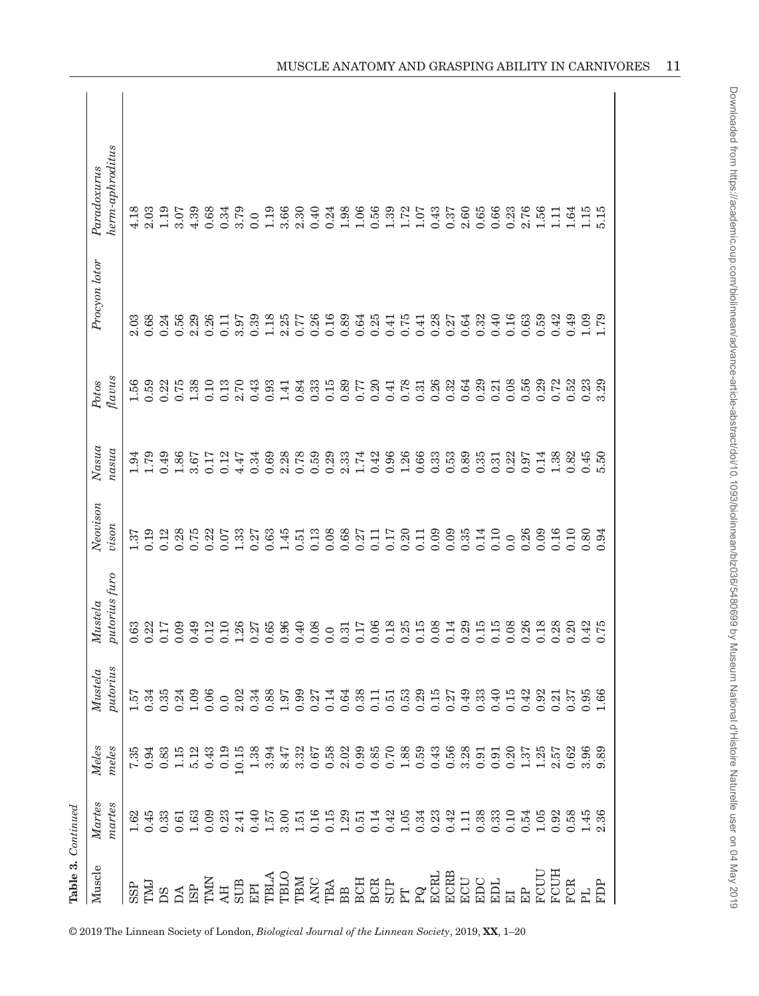| Muscle                                                                             | $Martes$ | Meles | Mustela  | Mustela       | Neovison         | $N$ asua | Potos            | Procyon lotor | Paradoxurus     |
|------------------------------------------------------------------------------------|----------|-------|----------|---------------|------------------|----------|------------------|---------------|-----------------|
|                                                                                    | nartes   | meles | putorius | putorius furo | vison            | nasua    | flavus           |               | herm-aphroditus |
| SES ABER EERS A BERLAND HARD DI BERLAND<br>SES ABER EERS A BERLAND HARD DI BERLAND |          |       |          | 0.63          | 1.37             | 1.94     | 1.56             | 2.03          | 4.18            |
|                                                                                    |          |       |          | 0.22          | 0.19             | 1.79     | 0.59             | 0.68          | 2.03            |
|                                                                                    |          |       |          | 0.17          | 0.12             | 0.49     | 0.22             | 0.24          | 1.19            |
|                                                                                    |          |       |          | 0.09          | 0.28             | $1.86\,$ | 0.75             | 0.56          | 3.07            |
|                                                                                    |          |       |          | 0.49          | 0.75             | 3.67     | 1.38             | 2.29          | 4.39            |
|                                                                                    |          |       |          | 0.12          | 0.22             | 0.17     | 0.10             | 0.26          | 0.68            |
|                                                                                    |          |       |          | $0.10\,$      | 0.07             | 0.12     | 0.13             | 0.11          | 0.34            |
|                                                                                    |          |       |          | 1.26          | 1.33             | 4.47     | 2.70             | 3.97          | 3.79            |
|                                                                                    |          |       |          | 0.27          | 0.27             | 0.34     | 0.43             | 0.39          | 0.0             |
|                                                                                    |          |       |          | 0.65          | 0.63             | 0.69     | 0.93             | 1.18          | $1.19\,$        |
|                                                                                    |          |       |          | 0.96          | 1.45             | 2.28     | 1.41             | 2.25          | 3.66            |
|                                                                                    |          |       |          | 0.40          | 0.51             | 0.78     | 0.84             | 0.77          | 2.30            |
|                                                                                    |          |       |          | 0.08          | 0.13             | 0.59     | 0.33             | 0.26          | 0.40            |
|                                                                                    |          |       |          | 0.0           | 0.08             | 0.29     | 0.15             | 0.16          | 0.24            |
|                                                                                    |          |       |          | 0.31          | 0.68             | 2.33     | 0.89             | 0.89          | 1.98            |
|                                                                                    |          |       |          | 0.17          | 0.27             | 1.74     | 0.77             | 0.64          | 1.06            |
|                                                                                    |          |       |          | 0.06          | 0.11             | 0.42     | 0.20             | 0.25          | 0.56            |
|                                                                                    |          |       |          | 0.18          | 0.17             | 0.96     | 0.41             | 0.41          | 1.39            |
|                                                                                    |          |       |          | 0.25          | 0.20             | 1.26     | 0.78             | 0.75          | 1.72            |
|                                                                                    |          |       |          | 0.15          | 0.11             | 0.66     |                  | 0.41          | 1.07            |
|                                                                                    |          |       |          | 0.08          | 0.09             | 0.33     | $0.31$<br>$0.26$ | 0.28          | 0.43            |
|                                                                                    |          |       |          | 0.14          | $0.09$<br>$0.35$ | 0.53     | 0.32             | 0.27          | 0.37            |
|                                                                                    |          |       |          | 0.29          |                  | 0.89     | 0.64             | 0.64          | 2.60            |
|                                                                                    |          |       |          | 0.15          | 0.14             | 0.35     | 0.29             | 0.32          | 0.65            |
|                                                                                    |          |       |          | 0.15          | $0.10$<br>$0.26$ | 0.31     | 0.21             | 0.40          | 0.66            |
|                                                                                    |          |       |          | 0.08          |                  | 0.22     | 0.08             | 0.16          | 0.23            |
|                                                                                    |          |       |          | 0.26          |                  | 0.97     | 0.56             | 0.63          | 2.76            |
|                                                                                    |          |       |          | 0.18          | 0.09             | 0.14     | 0.29             | 0.59          | 1.56            |
|                                                                                    |          |       |          | 0.28          | 0.16             | 1.38     | 0.72             | 0.42          | 1.11            |
|                                                                                    |          |       |          | 0.20          | 0.10             | 0.82     | 0.52             | 0.49          | 1.64            |
|                                                                                    |          |       |          | 0.42          | 0.80             | 0.45     | 0.23             | 1.09          | 1.15            |
|                                                                                    |          |       |          | 0.75          | 0.94             | 5.50     | 3.29             | 1.79          | 5.15            |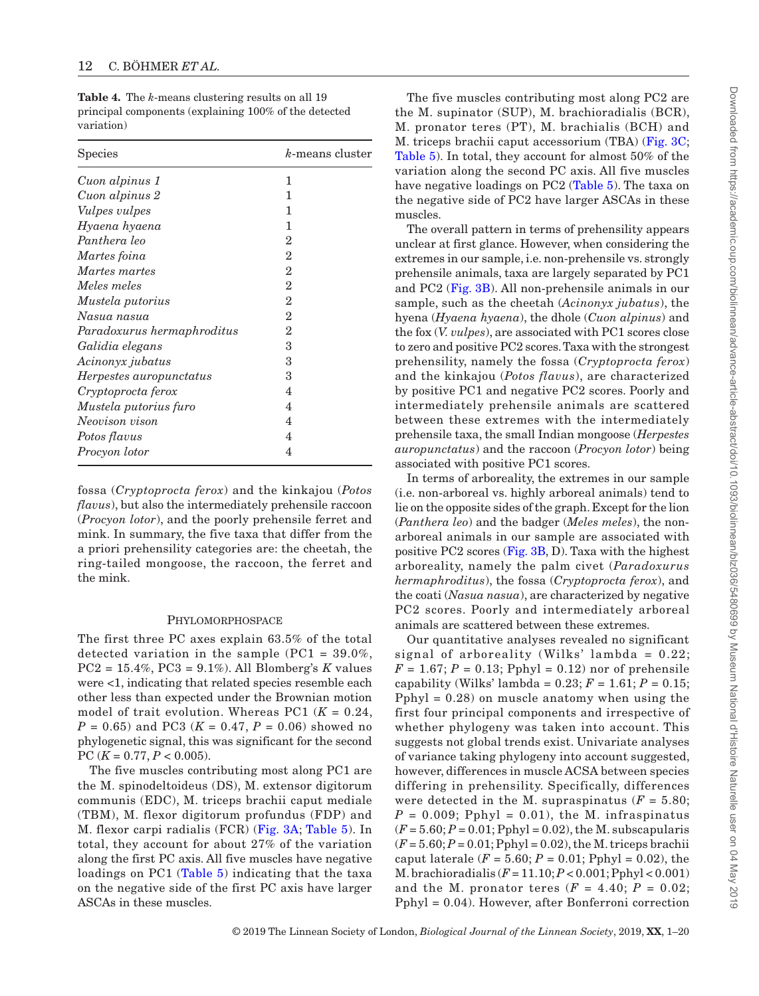<span id="page-11-0"></span>**Table 4.** The *k*-means clustering results on all 19 principal components (explaining 100% of the detected variation)

| Species                    | $k$ -means cluster |
|----------------------------|--------------------|
| Cuon alpinus 1             | 1                  |
| Cuon alpinus 2             | 1                  |
| <i>Vulpes vulpes</i>       | 1                  |
| Hyaena hyaena              | 1                  |
| Panthera leo               | $\overline{2}$     |
| Martes foina               | $\overline{2}$     |
| Martes martes              | $\mathfrak{D}$     |
| Meles meles                | $\overline{2}$     |
| Mustela putorius           | $\mathfrak{D}$     |
| Nasua nasua                | 2                  |
| Paradoxurus hermaphroditus | $\overline{2}$     |
| Galidia elegans            | 3                  |
| Acinonyx jubatus           | 3                  |
| Herpestes auropunctatus    | 3                  |
| Cryptoprocta ferox         | 4                  |
| Mustela putorius furo      | 4                  |
| Neovison vison             | 4                  |
| Potos flavus               | 4                  |
| Procyon lotor              | 4                  |

fossa (*Cryptoprocta ferox*) and the kinkajou (*Potos flavus*), but also the intermediately prehensile raccoon (*Procyon lotor*), and the poorly prehensile ferret and mink. In summary, the five taxa that differ from the a priori prehensility categories are: the cheetah, the ring-tailed mongoose, the raccoon, the ferret and the mink.

# Phylomorphospace

The first three PC axes explain 63.5% of the total detected variation in the sample  $(PC1 = 39.0\%$ , PC2 = 15.4%, PC3 = 9.1%). All Blomberg's *K* values were <1, indicating that related species resemble each other less than expected under the Brownian motion model of trait evolution. Whereas PC1  $(K = 0.24,$  $P = 0.65$ ) and PC3 ( $K = 0.47$ ,  $P = 0.06$ ) showed no phylogenetic signal, this was significant for the second PC ( $K = 0.77, P < 0.005$ ).

The five muscles contributing most along PC1 are the M. spinodeltoideus (DS), M. extensor digitorum communis (EDC), M. triceps brachii caput mediale (TBM), M. flexor digitorum profundus (FDP) and M. flexor carpi radialis (FCR) ([Fig. 3A;](#page-12-0) [Table 5](#page-13-0)). In total, they account for about 27% of the variation along the first PC axis. All five muscles have negative loadings on PC1 ([Table 5\)](#page-13-0) indicating that the taxa on the negative side of the first PC axis have larger ASCAs in these muscles.

The five muscles contributing most along PC2 are the M. supinator (SUP), M. brachioradialis (BCR), M. pronator teres (PT), M. brachialis (BCH) and M. triceps brachii caput accessorium (TBA) [\(Fig. 3C;](#page-12-0) [Table 5](#page-13-0)). In total, they account for almost 50% of the variation along the second PC axis. All five muscles have negative loadings on PC2 ([Table 5](#page-13-0)). The taxa on the negative side of PC2 have larger ASCAs in these muscles.

The overall pattern in terms of prehensility appears unclear at first glance. However, when considering the extremes in our sample, i.e. non-prehensile vs. strongly prehensile animals, taxa are largely separated by PC1 and PC2 ([Fig. 3B\)](#page-12-0). All non-prehensile animals in our sample, such as the cheetah (*Acinonyx jubatus*), the hyena (*Hyaena hyaena*), the dhole (*Cuon alpinus*) and the fox (*V. vulpes*), are associated with PC1 scores close to zero and positive PC2 scores. Taxa with the strongest prehensility, namely the fossa (*Cryptoprocta ferox*) and the kinkajou (*Potos flavus*), are characterized by positive PC1 and negative PC2 scores. Poorly and intermediately prehensile animals are scattered between these extremes with the intermediately prehensile taxa, the small Indian mongoose (*Herpestes auropunctatus*) and the raccoon (*Procyon lotor*) being associated with positive PC1 scores.

In terms of arboreality, the extremes in our sample (i.e. non-arboreal vs. highly arboreal animals) tend to lie on the opposite sides of the graph. Except for the lion (*Panthera leo*) and the badger (*Meles meles*), the nonarboreal animals in our sample are associated with positive PC2 scores ([Fig. 3B,](#page-12-0) D). Taxa with the highest arboreality, namely the palm civet (*Paradoxurus hermaphroditus*), the fossa (*Cryptoprocta ferox*), and the coati (*Nasua nasua*), are characterized by negative PC2 scores. Poorly and intermediately arboreal animals are scattered between these extremes.

Our quantitative analyses revealed no significant signal of arboreality (Wilks' lambda = 0.22;  $F = 1.67$ ;  $P = 0.13$ ; Pphyl = 0.12) nor of prehensile capability (Wilks' lambda =  $0.23; F = 1.61; P = 0.15;$ Pphyl = 0.28) on muscle anatomy when using the first four principal components and irrespective of whether phylogeny was taken into account. This suggests not global trends exist. Univariate analyses of variance taking phylogeny into account suggested, however, differences in muscle ACSA between species differing in prehensility. Specifically, differences were detected in the M. supraspinatus  $(F = 5.80;$  $P = 0.009$ ; Pphyl = 0.01), the M. infraspinatus  $(F = 5.60; P = 0.01; Pphyl = 0.02)$ , the M. subscapularis  $(F = 5.60; P = 0.01; Pphyl = 0.02)$ , the M. triceps brachii caput laterale  $(F = 5.60; P = 0.01; Pphyl = 0.02)$ , the M. brachioradialis (*F* = 11.10; *P* < 0.001; Pphyl < 0.001) and the M. pronator teres  $(F = 4.40; P = 0.02;$ Pphyl = 0.04). However, after Bonferroni correction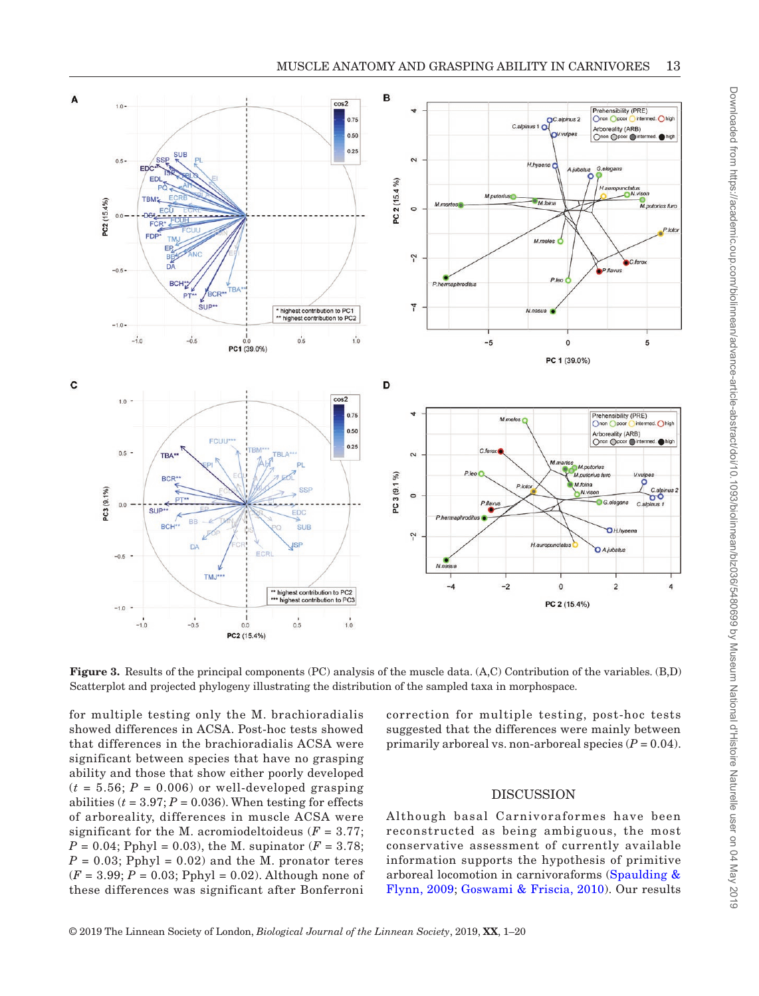

<span id="page-12-0"></span>**Figure 3.** Results of the principal components (PC) analysis of the muscle data. (A,C) Contribution of the variables. (B,D) Scatterplot and projected phylogeny illustrating the distribution of the sampled taxa in morphospace.

for multiple testing only the M. brachioradialis showed differences in ACSA. Post-hoc tests showed that differences in the brachioradialis ACSA were significant between species that have no grasping ability and those that show either poorly developed  $(t = 5.56; P = 0.006)$  or well-developed grasping abilities  $(t = 3.97; P = 0.036)$ . When testing for effects of arboreality, differences in muscle ACSA were significant for the M. acromiodeltoideus ( $F = 3.77$ ;  $P = 0.04$ ; Pphyl = 0.03), the M. supinator ( $F = 3.78$ ;  $P = 0.03$ ; Pphyl = 0.02) and the M. pronator teres  $(F = 3.99; P = 0.03; Pphyl = 0.02)$ . Although none of these differences was significant after Bonferroni

correction for multiple testing, post-hoc tests suggested that the differences were mainly between primarily arboreal vs. non-arboreal species  $(P = 0.04)$ .

# **DISCUSSION**

Although basal Carnivoraformes have been reconstructed as being ambiguous, the most conservative assessment of currently available information supports the hypothesis of primitive arboreal locomotion in carnivoraforms ([Spaulding &](#page-18-29) [Flynn, 2009](#page-18-29); [Goswami & Friscia, 2010](#page-16-3)). Our results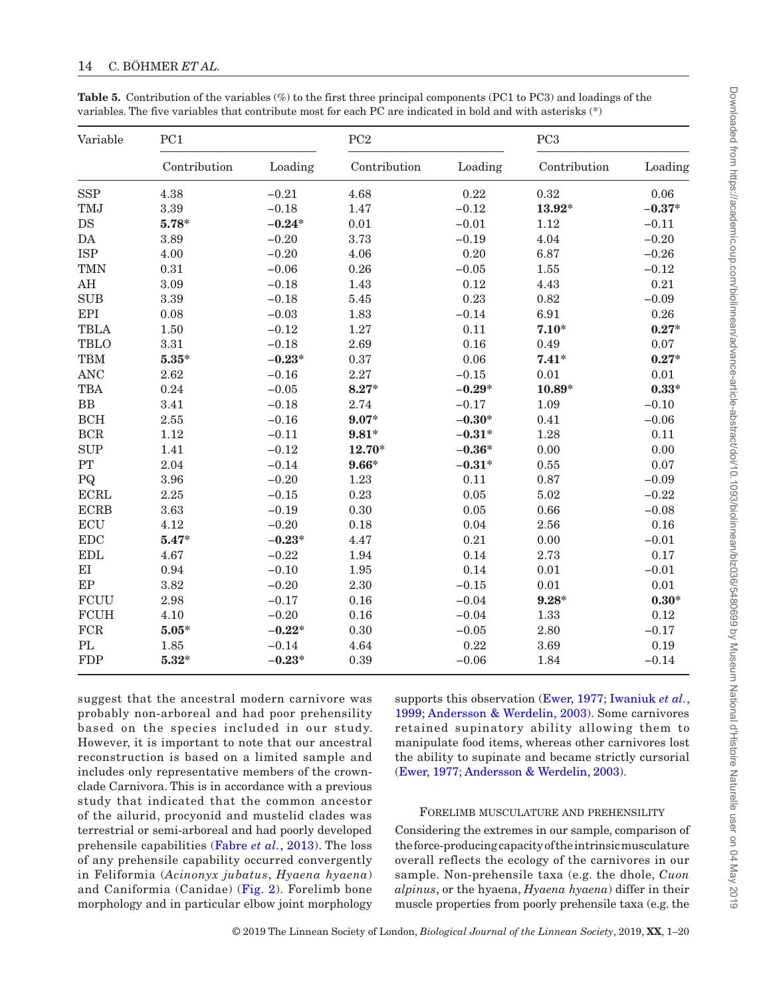| Variable               | PC1                 |          | PC2          |            | PC <sub>3</sub> |          |
|------------------------|---------------------|----------|--------------|------------|-----------------|----------|
|                        | Contribution        | Loading  | Contribution | Loading    | Contribution    | Loading  |
| <b>SSP</b>             | 4.38                | $-0.21$  | 4.68         | 0.22       | 0.32            | 0.06     |
| <b>TMJ</b>             | 3.39                | $-0.18$  | 1.47         | $-0.12$    | $13.92*$        | $-0.37*$ |
| <b>DS</b>              | $5.78*$             | $-0.24*$ | 0.01         | $-0.01$    | 1.12            | $-0.11$  |
| DA                     | 3.89                | $-0.20$  | 3.73         | $-0.19$    | 4.04            | $-0.20$  |
| <b>ISP</b>             | 4.00                | $-0.20$  | 4.06         | 0.20       | 6.87            | $-0.26$  |
| <b>TMN</b>             | $\rm 0.31$          | $-0.06$  | $0.26\,$     | $-0.05$    | 1.55            | $-0.12$  |
| $\mathbf{A}\mathbf{H}$ | 3.09                | $-0.18$  | 1.43         | 0.12       | 4.43            | 0.21     |
| <b>SUB</b>             | 3.39                | $-0.18$  | $5.45\,$     | 0.23       | 0.82            | $-0.09$  |
| <b>EPI</b>             | 0.08                | $-0.03$  | 1.83         | $-0.14$    | 6.91            | 0.26     |
| <b>TBLA</b>            | 1.50                | $-0.12$  | 1.27         | 0.11       | $7.10*$         | $0.27*$  |
| <b>TBLO</b>            | 3.31                | $-0.18$  | 2.69         | 0.16       | 0.49            | 0.07     |
| <b>TBM</b>             | $\mathbf{5.35}^{*}$ | $-0.23*$ | 0.37         | 0.06       | $7.41*$         | $0.27*$  |
| <b>ANC</b>             | 2.62                | $-0.16$  | 2.27         | $-0.15$    | 0.01            | 0.01     |
| <b>TBA</b>             | $\rm 0.24$          | $-0.05$  | $8.27*$      | $-0.29*$   | $10.89*$        | $0.33*$  |
| BB                     | $3.41\,$            | $-0.18$  | 2.74         | $-0.17$    | 1.09            | $-0.10$  |
| BCH                    | 2.55                | $-0.16$  | $9.07*$      | $-0.30*$   | 0.41            | $-0.06$  |
| BCR                    | 1.12                | $-0.11$  | $9.81*$      | $-0.31*$   | 1.28            | 0.11     |
| <b>SUP</b>             | 1.41                | $-0.12$  | $12.70*$     | $-0.36*$   | 0.00            | 0.00     |
| PT                     | 2.04                | $-0.14$  | $9.66*$      | $-0.31*$   | 0.55            | 0.07     |
| PQ                     | 3.96                | $-0.20$  | 1.23         | 0.11       | 0.87            | $-0.09$  |
| <b>ECRL</b>            | 2.25                | $-0.15$  | 0.23         | $\rm 0.05$ | 5.02            | $-0.22$  |
| ECRB                   | 3.63                | $-0.19$  | 0.30         | $0.05\,$   | 0.66            | $-0.08$  |
| <b>ECU</b>             | 4.12                | $-0.20$  | 0.18         | 0.04       | 2.56            | 0.16     |
| <b>EDC</b>             | $5.47*$             | $-0.23*$ | 4.47         | 0.21       | 0.00            | $-0.01$  |
| <b>EDL</b>             | 4.67                | $-0.22$  | 1.94         | 0.14       | 2.73            | 0.17     |
| EI                     | 0.94                | $-0.10$  | $1.95\,$     | 0.14       | $0.01\,$        | $-0.01$  |
| EP                     | $3.82\,$            | $-0.20$  | $2.30\,$     | $-0.15$    | $0.01\,$        | 0.01     |
| <b>FCUU</b>            | 2.98                | $-0.17$  | $0.16\,$     | $-0.04$    | $9.28*$         | $0.30*$  |
| <b>FCUH</b>            | 4.10                | $-0.20$  | 0.16         | $-0.04$    | 1.33            | 0.12     |
| <b>FCR</b>             | $\mathbf{5.05}^{*}$ | $-0.22*$ | $0.30\,$     | $-0.05$    | 2.80            | $-0.17$  |
| PL                     | 1.85                | $-0.14$  | 4.64         | 0.22       | 3.69            | 0.19     |
| <b>FDP</b>             | $\mathbf{5.32}^{*}$ | $-0.23*$ | 0.39         | $-0.06$    | 1.84            | $-0.14$  |

<span id="page-13-0"></span>**Table 5.** Contribution of the variables (%) to the first three principal components (PC1 to PC3) and loadings of the variables. The five variables that contribute most for each PC are indicated in bold and with asterisks (\*)

suggest that the ancestral modern carnivore was probably non-arboreal and had poor prehensility based on the species included in our study. However, it is important to note that our ancestral reconstruction is based on a limited sample and includes only representative members of the crownclade Carnivora. This is in accordance with a previous study that indicated that the common ancestor of the ailurid, procyonid and mustelid clades was terrestrial or semi-arboreal and had poorly developed prehensile capabilities ([Fabre](#page-16-4) *et al.*, 2013). The loss of any prehensile capability occurred convergently in Feliformia (*Acinonyx jubatus*, *Hyaena hyaena*) and Caniformia (Canidae) ([Fig. 2](#page-8-0)). Forelimb bone morphology and in particular elbow joint morphology

supports this observation ([Ewer, 1977;](#page-16-2) [Iwaniuk](#page-17-1) *et al.*, [1999;](#page-17-1) [Andersson & Werdelin, 2003\)](#page-15-4). Some carnivores retained supinatory ability allowing them to manipulate food items, whereas other carnivores lost the ability to supinate and became strictly cursorial [\(Ewer, 1977](#page-16-2); [Andersson & Werdelin, 2003](#page-15-4)).

#### Forelimb musculature and prehensility

Considering the extremes in our sample, comparison of the force-producing capacity of the intrinsic musculature overall reflects the ecology of the carnivores in our sample. Non-prehensile taxa (e.g. the dhole, *Cuon alpinus*, or the hyaena, *Hyaena hyaena*) differ in their muscle properties from poorly prehensile taxa (e.g. the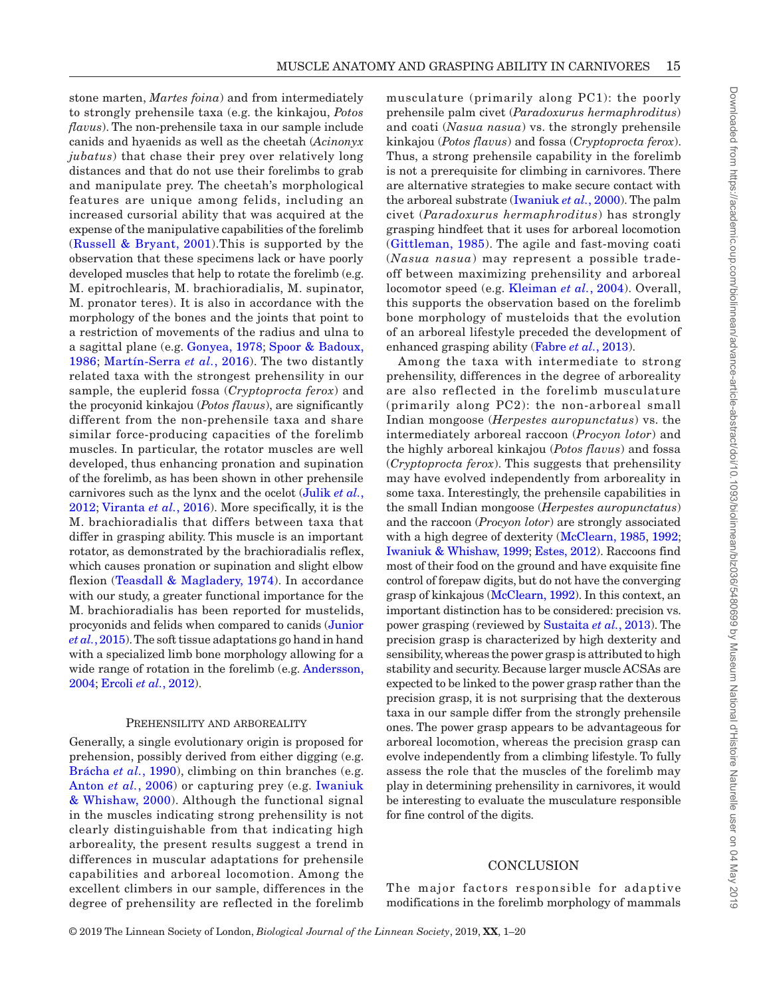stone marten, *Martes foina*) and from intermediately to strongly prehensile taxa (e.g. the kinkajou, *Potos flavus*). The non-prehensile taxa in our sample include canids and hyaenids as well as the cheetah (*Acinonyx jubatus*) that chase their prey over relatively long distances and that do not use their forelimbs to grab and manipulate prey. The cheetah's morphological features are unique among felids, including an increased cursorial ability that was acquired at the expense of the manipulative capabilities of the forelimb ([Russell & Bryant, 2001\)](#page-18-30).This is supported by the observation that these specimens lack or have poorly developed muscles that help to rotate the forelimb (e.g. M. epitrochlearis, M. brachioradialis, M. supinator, M. pronator teres). It is also in accordance with the morphology of the bones and the joints that point to a restriction of movements of the radius and ulna to a sagittal plane (e.g. [Gonyea, 1978](#page-16-29); [Spoor & Badoux,](#page-18-31) [1986;](#page-18-31) [Martín-Serra](#page-17-27) *et al.*, 2016). The two distantly related taxa with the strongest prehensility in our sample, the euplerid fossa (*Cryptoprocta ferox*) and the procyonid kinkajou (*Potos flavus*), are significantly different from the non-prehensile taxa and share similar force-producing capacities of the forelimb muscles. In particular, the rotator muscles are well developed, thus enhancing pronation and supination of the forelimb, as has been shown in other prehensile carnivores such as the lynx and the ocelot ([Julik](#page-17-7) *et al.*, [2012](#page-17-7); [Viranta](#page-19-14) *et al.*, 2016). More specifically, it is the M. brachioradialis that differs between taxa that differ in grasping ability. This muscle is an important rotator, as demonstrated by the brachioradialis reflex, which causes pronation or supination and slight elbow flexion ([Teasdall & Magladery, 1974](#page-19-15)). In accordance with our study, a greater functional importance for the M. brachioradialis has been reported for mustelids, procyonids and felids when compared to canids ([Junior](#page-17-8) *et al.*[, 2015](#page-17-8)). The soft tissue adaptations go hand in hand with a specialized limb bone morphology allowing for a wide range of rotation in the forelimb (e.g. [Andersson,](#page-15-5) [2004;](#page-15-5) [Ercoli](#page-16-30) *et al.*, 2012).

#### Prehensility and arboreality

Generally, a single evolutionary origin is proposed for prehension, possibly derived from either digging (e.g. [Brácha](#page-16-31) *et al.*, 1990), climbing on thin branches (e.g. [Anton](#page-16-32) *et al.*, 2006) or capturing prey (e.g. [Iwaniuk](#page-17-28) [& Whishaw, 2000](#page-17-28)). Although the functional signal in the muscles indicating strong prehensility is not clearly distinguishable from that indicating high arboreality, the present results suggest a trend in differences in muscular adaptations for prehensile capabilities and arboreal locomotion. Among the excellent climbers in our sample, differences in the degree of prehensility are reflected in the forelimb

musculature (primarily along PC1): the poorly prehensile palm civet (*Paradoxurus hermaphroditus*) and coati (*Nasua nasua*) vs. the strongly prehensile kinkajou (*Potos flavus*) and fossa (*Cryptoprocta ferox*). Thus, a strong prehensile capability in the forelimb is not a prerequisite for climbing in carnivores. There are alternative strategies to make secure contact with the arboreal substrate [\(Iwaniuk](#page-17-14) *et al.*, 2000). The palm civet (*Paradoxurus hermaphroditus*) has strongly grasping hindfeet that it uses for arboreal locomotion ([Gittleman, 1985\)](#page-16-33). The agile and fast-moving coati (*Nasua nasua*) may represent a possible tradeoff between maximizing prehensility and arboreal locomotor speed (e.g. [Kleiman](#page-17-17) *et al.*, 2004). Overall, this supports the observation based on the forelimb bone morphology of musteloids that the evolution of an arboreal lifestyle preceded the development of enhanced grasping ability ([Fabre](#page-16-4) *et al.*, 2013).

Among the taxa with intermediate to strong prehensility, differences in the degree of arboreality are also reflected in the forelimb musculature (primarily along PC2): the non-arboreal small Indian mongoose (*Herpestes auropunctatus*) vs. the intermediately arboreal raccoon (*Procyon lotor*) and the highly arboreal kinkajou (*Potos flavus*) and fossa (*Cryptoprocta ferox*). This suggests that prehensility may have evolved independently from arboreality in some taxa. Interestingly, the prehensile capabilities in the small Indian mongoose (*Herpestes auropunctatus*) and the raccoon (*Procyon lotor*) are strongly associated with a high degree of dexterity ([McClearn, 1985,](#page-17-29) [1992](#page-17-4); [Iwaniuk & Whishaw, 1999;](#page-17-12) [Estes, 2012\)](#page-16-34). Raccoons find most of their food on the ground and have exquisite fine control of forepaw digits, but do not have the converging grasp of kinkajous [\(McClearn, 1992](#page-17-4)). In this context, an important distinction has to be considered: precision vs. power grasping (reviewed by [Sustaita](#page-19-2) *et al.*, 2013). The precision grasp is characterized by high dexterity and sensibility, whereas the power grasp is attributed to high stability and security. Because larger muscle ACSAs are expected to be linked to the power grasp rather than the precision grasp, it is not surprising that the dexterous taxa in our sample differ from the strongly prehensile ones. The power grasp appears to be advantageous for arboreal locomotion, whereas the precision grasp can evolve independently from a climbing lifestyle. To fully assess the role that the muscles of the forelimb may play in determining prehensility in carnivores, it would be interesting to evaluate the musculature responsible for fine control of the digits.

## **CONCLUSION**

The major factors responsible for adaptive modifications in the forelimb morphology of mammals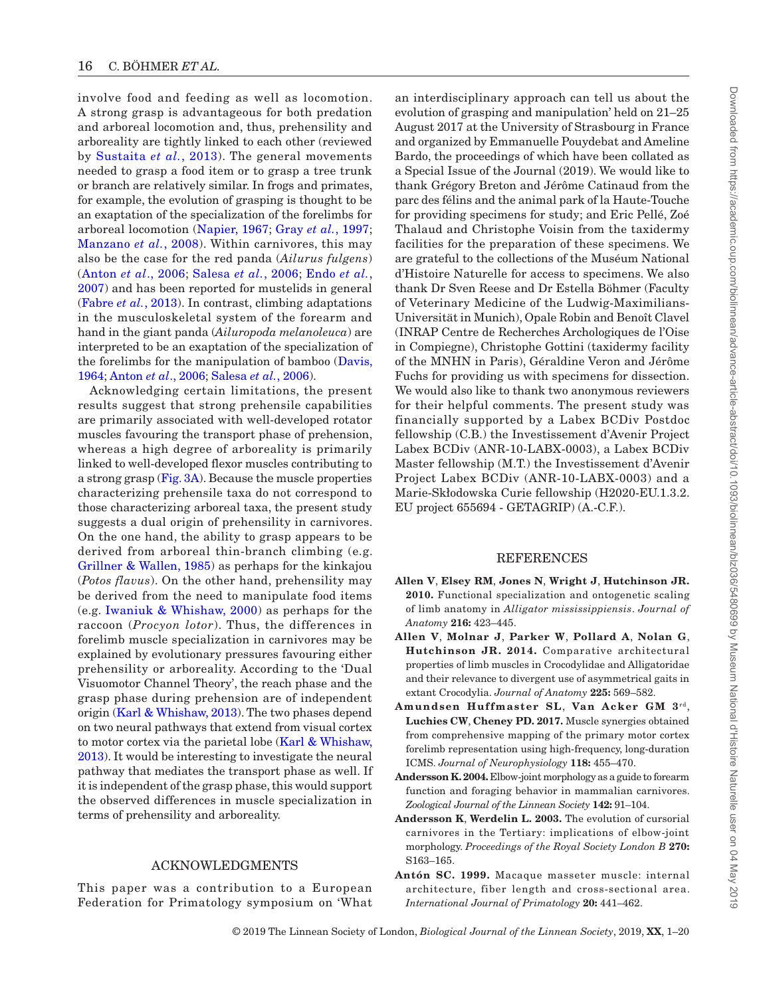involve food and feeding as well as locomotion. A strong grasp is advantageous for both predation and arboreal locomotion and, thus, prehensility and arboreality are tightly linked to each other (reviewed by [Sustaita](#page-19-2) *et al.*, 2013). The general movements needed to grasp a food item or to grasp a tree trunk or branch are relatively similar. In frogs and primates, for example, the evolution of grasping is thought to be an exaptation of the specialization of the forelimbs for arboreal locomotion ([Napier, 1967;](#page-18-32) Gray *et al.*[, 1997;](#page-16-35) [Manzano](#page-17-30) *et al.*, 2008). Within carnivores, this may also be the case for the red panda (*Ailurus fulgens*) (Anton *et al*[., 2006;](#page-16-32) [Salesa](#page-18-33) *et al.*, 2006; [Endo](#page-16-36) *et al.*, [2007\)](#page-16-36) and has been reported for mustelids in general [\(Fabre](#page-16-4) *et al.*, 2013). In contrast, climbing adaptations in the musculoskeletal system of the forearm and hand in the giant panda (*Ailuropoda melanoleuca*) are interpreted to be an exaptation of the specialization of the forelimbs for the manipulation of bamboo [\(Davis,](#page-16-37) [1964;](#page-16-37) [Anton](#page-16-32) *et al*., 2006; [Salesa](#page-18-33) *et al.*, 2006).

Acknowledging certain limitations, the present results suggest that strong prehensile capabilities are primarily associated with well-developed rotator muscles favouring the transport phase of prehension, whereas a high degree of arboreality is primarily linked to well-developed flexor muscles contributing to a strong grasp [\(Fig. 3A](#page-12-0)). Because the muscle properties characterizing prehensile taxa do not correspond to those characterizing arboreal taxa, the present study suggests a dual origin of prehensility in carnivores. On the one hand, the ability to grasp appears to be derived from arboreal thin-branch climbing (e.g. [Grillner & Wallen, 1985](#page-16-38)) as perhaps for the kinkajou (*Potos flavus*). On the other hand, prehensility may be derived from the need to manipulate food items (e.g. [Iwaniuk & Whishaw, 2000](#page-17-28)) as perhaps for the raccoon (*Procyon lotor*). Thus, the differences in forelimb muscle specialization in carnivores may be explained by evolutionary pressures favouring either prehensility or arboreality. According to the 'Dual Visuomotor Channel Theory', the reach phase and the grasp phase during prehension are of independent origin [\(Karl & Whishaw, 2013](#page-17-31)). The two phases depend on two neural pathways that extend from visual cortex to motor cortex via the parietal lobe [\(Karl & Whishaw,](#page-17-31) [2013\)](#page-17-31). It would be interesting to investigate the neural pathway that mediates the transport phase as well. If it is independent of the grasp phase, this would support the observed differences in muscle specialization in terms of prehensility and arboreality.

## ACKNOWLEDGMENTS

This paper was a contribution to a European Federation for Primatology symposium on 'What an interdisciplinary approach can tell us about the evolution of grasping and manipulation' held on 21–25 August 2017 at the University of Strasbourg in France and organized by Emmanuelle Pouydebat and Ameline Bardo, the proceedings of which have been collated as a Special Issue of the Journal (2019). We would like to thank Grégory Breton and Jérôme Catinaud from the parc des félins and the animal park of la Haute-Touche for providing specimens for study; and Eric Pellé, Zoé Thalaud and Christophe Voisin from the taxidermy facilities for the preparation of these specimens. We are grateful to the collections of the Muséum National d'Histoire Naturelle for access to specimens. We also thank Dr Sven Reese and Dr Estella Böhmer (Faculty of Veterinary Medicine of the Ludwig-Maximilians-Universität in Munich), Opale Robin and Benoît Clavel (INRAP Centre de Recherches Archologiques de l'Oise in Compiegne), Christophe Gottini (taxidermy facility of the MNHN in Paris), Géraldine Veron and Jérôme Fuchs for providing us with specimens for dissection. We would also like to thank two anonymous reviewers for their helpful comments. The present study was financially supported by a Labex BCDiv Postdoc fellowship (C.B.) the Investissement d'Avenir Project Labex BCDiv (ANR-10-LABX-0003), a Labex BCDiv Master fellowship (M.T.) the Investissement d'Avenir Project Labex BCDiv (ANR-10-LABX-0003) and a Marie-Skłodowska Curie fellowship (H2020-EU.1.3.2. EU project 655694 - GETAGRIP) (A.-C.F.).

# REFERENCES

- <span id="page-15-2"></span>**Allen V**, **Elsey RM**, **Jones N**, **Wright J**, **Hutchinson JR. 2010.** Functional specialization and ontogenetic scaling of limb anatomy in *Alligator mississippiensis*. *Journal of Anatomy* **216:** 423–445.
- <span id="page-15-3"></span>**Allen V**, **Molnar J**, **Parker W**, **Pollard A**, **Nolan G**, **Hutchinson JR. 2014.** Comparative architectural properties of limb muscles in Crocodylidae and Alligatoridae and their relevance to divergent use of asymmetrical gaits in extant Crocodylia. *Journal of Anatomy* **225:** 569–582.
- <span id="page-15-0"></span>**Amundsen Huffmaster SL**, **Van Acker GM 3**rd, **Luchies CW**, **Cheney PD. 2017.** Muscle synergies obtained from comprehensive mapping of the primary motor cortex forelimb representation using high-frequency, long-duration ICMS. *Journal of Neurophysiology* **118:** 455–470.
- <span id="page-15-5"></span>**Andersson K. 2004.** Elbow-joint morphology as a guide to forearm function and foraging behavior in mammalian carnivores. *Zoological Journal of the Linnean Society* **142:** 91–104.
- <span id="page-15-4"></span>**Andersson K**, **Werdelin L. 2003.** The evolution of cursorial carnivores in the Tertiary: implications of elbow-joint morphology. *Proceedings of the Royal Society London B* **270:**  S163–165.
- <span id="page-15-1"></span>**Antón SC. 1999.** Macaque masseter muscle: internal architecture, fiber length and cross-sectional area. *International Journal of Primatology* **20:** 441–462.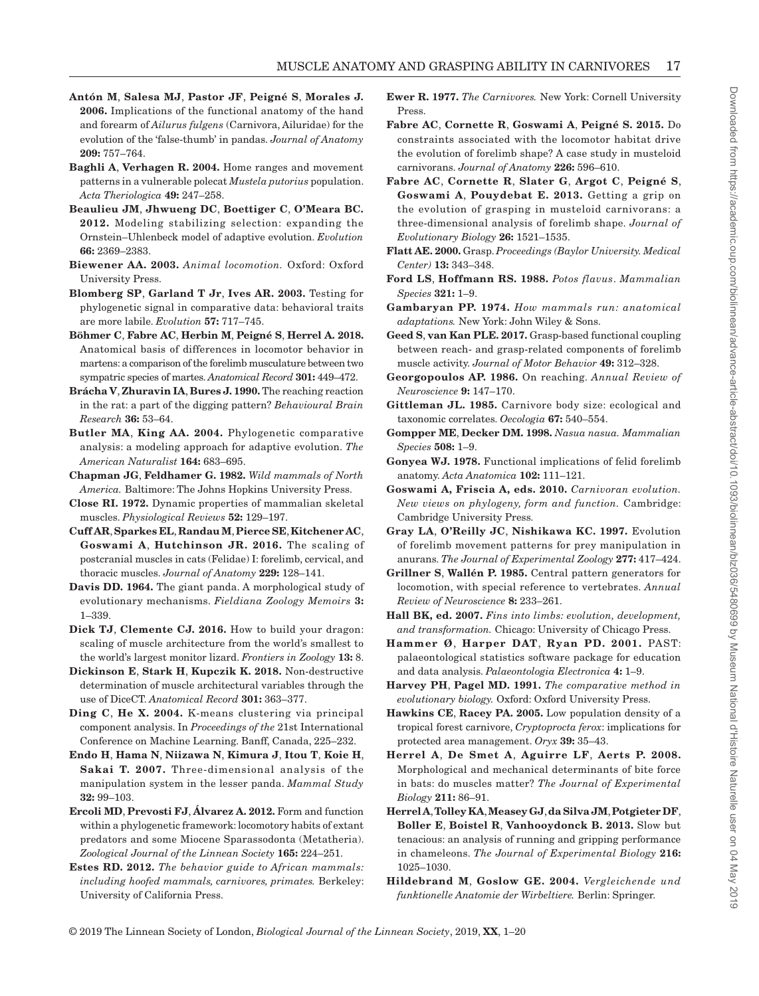- <span id="page-16-32"></span>**Antón M**, **Salesa MJ**, **Pastor JF**, **Peigné S**, **Morales J. 2006.** Implications of the functional anatomy of the hand and forearm of *Ailurus fulgens* (Carnivora, Ailuridae) for the evolution of the 'false-thumb' in pandas. *Journal of Anatomy* **209:** 757–764.
- <span id="page-16-16"></span>**Baghli A**, **Verhagen R. 2004.** Home ranges and movement patterns in a vulnerable polecat *Mustela putorius* population. *Acta Theriologica* **49:** 247–258.
- <span id="page-16-28"></span>**Beaulieu JM**, **Jhwueng DC**, **Boettiger C**, **O'Meara BC. 2012.** Modeling stabilizing selection: expanding the Ornstein–Uhlenbeck model of adaptive evolution. *Evolution* **66:** 2369–2383.
- <span id="page-16-7"></span>**Biewener AA. 2003.** *Animal locomotion.* Oxford: Oxford University Press.
- <span id="page-16-26"></span>**Blomberg SP**, **Garland T Jr**, **Ives AR. 2003.** Testing for phylogenetic signal in comparative data: behavioral traits are more labile. *Evolution* **57:** 717–745.
- <span id="page-16-10"></span>**Böhmer C**, **Fabre AC**, **Herbin M**, **Peigné S**, **Herrel A. 2018.**  Anatomical basis of differences in locomotor behavior in martens: a comparison of the forelimb musculature between two sympatric species of martes. *Anatomical Record* **301:** 449–472.
- <span id="page-16-31"></span>**Brácha V**, **Zhuravin IA**, **Bures J. 1990.** The reaching reaction in the rat: a part of the digging pattern? *Behavioural Brain Research* **36:** 53–64.
- <span id="page-16-27"></span>**Butler MA**, **King AA. 2004.** Phylogenetic comparative analysis: a modeling approach for adaptive evolution. *The American Naturalist* **164:** 683–695.
- <span id="page-16-17"></span>**Chapman JG**, **Feldhamer G. 1982.** *Wild mammals of North America.* Baltimore: The Johns Hopkins University Press.
- <span id="page-16-14"></span>**Close RI. 1972.** Dynamic properties of mammalian skeletal muscles. *Physiological Reviews* **52:** 129–197.
- <span id="page-16-22"></span>**Cuff AR**, **Sparkes EL**, **Randau M**, **Pierce SE**, **Kitchener AC**, **Goswami A**, **Hutchinson JR. 2016.** The scaling of postcranial muscles in cats (Felidae) I: forelimb, cervical, and thoracic muscles. *Journal of Anatomy* **229:** 128–141.
- <span id="page-16-37"></span>**Davis DD. 1964.** The giant panda. A morphological study of evolutionary mechanisms. *Fieldiana Zoology Memoirs* **3:**  1–339.
- <span id="page-16-23"></span>**Dick TJ**, **Clemente CJ. 2016.** How to build your dragon: scaling of muscle architecture from the world's smallest to the world's largest monitor lizard. *Frontiers in Zoology* **13:** 8.
- <span id="page-16-20"></span>**Dickinson E**, **Stark H**, **Kupczik K. 2018.** Non-destructive determination of muscle architectural variables through the use of DiceCT. *Anatomical Record* **301:** 363–377.
- <span id="page-16-24"></span>**Ding C**, **He X. 2004.** K-means clustering via principal component analysis. In *Proceedings of the* 21st International Conference on Machine Learning. Banff, Canada, 225–232.
- <span id="page-16-36"></span>**Endo H**, **Hama N**, **Niizawa N**, **Kimura J**, **Itou T**, **Koie H**, **Sakai T. 2007.** Three-dimensional analysis of the manipulation system in the lesser panda. *Mammal Study* **32:** 99–103.
- <span id="page-16-30"></span>**Ercoli MD**, **Prevosti FJ**, **Álvarez A. 2012.** Form and function within a phylogenetic framework: locomotory habits of extant predators and some Miocene Sparassodonta (Metatheria). *Zoological Journal of the Linnean Society* **165:** 224–251.
- <span id="page-16-34"></span>**Estes RD. 2012.** *The behavior guide to African mammals: including hoofed mammals, carnivores, primates.* Berkeley: University of California Press.
- <span id="page-16-2"></span>**Ewer R. 1977.** *The Carnivores.* New York: Cornell University Press.
- <span id="page-16-5"></span>**Fabre AC**, **Cornette R**, **Goswami A**, **Peigné S. 2015.** Do constraints associated with the locomotor habitat drive the evolution of forelimb shape? A case study in musteloid carnivorans. *Journal of Anatomy* **226:** 596–610.
- <span id="page-16-4"></span>**Fabre AC**, **Cornette R**, **Slater G**, **Argot C**, **Peigné S**, **Goswami A**, **Pouydebat E. 2013.** Getting a grip on the evolution of grasping in musteloid carnivorans: a three-dimensional analysis of forelimb shape. *Journal of Evolutionary Biology* **26:** 1521–1535.
- <span id="page-16-12"></span>**Flatt AE. 2000.** Grasp. *Proceedings (Baylor University. Medical Center)* **13:** 343–348.
- <span id="page-16-18"></span>**Ford LS**, **Hoffmann RS. 1988.** *Potos flavus*. *Mammalian Species* **321:** 1–9.
- <span id="page-16-0"></span>**Gambaryan PP. 1974.** *How mammals run: anatomical adaptations.* New York: John Wiley & Sons.
- <span id="page-16-13"></span>**Geed S**, **van Kan PLE. 2017.** Grasp-based functional coupling between reach- and grasp-related components of forelimb muscle activity. *Journal of Motor Behavior* **49:** 312–328.
- <span id="page-16-11"></span>**Georgopoulos AP. 1986.** On reaching. *Annual Review of Neuroscience* **9:** 147–170.
- <span id="page-16-33"></span>**Gittleman JL. 1985.** Carnivore body size: ecological and taxonomic correlates. *Oecologia* **67:** 540–554.
- <span id="page-16-6"></span>**Gompper ME**, **Decker DM. 1998.** *Nasua nasua. Mammalian Species* **508:** 1–9.
- <span id="page-16-29"></span>**Gonyea WJ. 1978.** Functional implications of felid forelimb anatomy. *Acta Anatomica* **102:** 111–121.
- <span id="page-16-3"></span>**Goswami A, Friscia A, eds. 2010.** *Carnivoran evolution. New views on phylogeny, form and function.* Cambridge: Cambridge University Press.
- <span id="page-16-35"></span>**Gray LA**, **O'Reilly JC**, **Nishikawa KC. 1997.** Evolution of forelimb movement patterns for prey manipulation in anurans. *The Journal of Experimental Zoology* **277:** 417–424.
- <span id="page-16-38"></span>**Grillner S**, **Wallén P. 1985.** Central pattern generators for locomotion, with special reference to vertebrates. *Annual Review of Neuroscience* **8:** 233–261.
- <span id="page-16-1"></span>**Hall BK, ed. 2007.** *Fins into limbs: evolution, development, and transformation.* Chicago: University of Chicago Press.
- <span id="page-16-21"></span>**Hammer Ø**, **Harper DAT**, **Ryan PD. 2001.** PAST: palaeontological statistics software package for education and data analysis. *Palaeontologia Electronica* **4:** 1–9.
- <span id="page-16-25"></span>**Harvey PH**, **Pagel MD. 1991.** *The comparative method in evolutionary biology.* Oxford: Oxford University Press.
- <span id="page-16-15"></span>**Hawkins CE**, **Racey PA. 2005.** Low population density of a tropical forest carnivore, *Cryptoprocta ferox*: implications for protected area management. *Oryx* **39:** 35–43.
- <span id="page-16-19"></span>**Herrel A**, **De Smet A**, **Aguirre LF**, **Aerts P. 2008.**  Morphological and mechanical determinants of bite force in bats: do muscles matter? *The Journal of Experimental Biology* **211:** 86–91.
- <span id="page-16-9"></span>**HerrelA**, **Tolley KA**, **Measey GJ**, **daSilvaJM**, **Potgieter DF**, **Boller E**, **Boistel R**, **Vanhooydonck B. 2013.** Slow but tenacious: an analysis of running and gripping performance in chameleons. *The Journal of Experimental Biology* **216:**  1025–1030.
- <span id="page-16-8"></span>**Hildebrand M**, **Goslow GE. 2004.** *Vergleichende und funktionelle Anatomie der Wirbeltiere.* Berlin: Springer.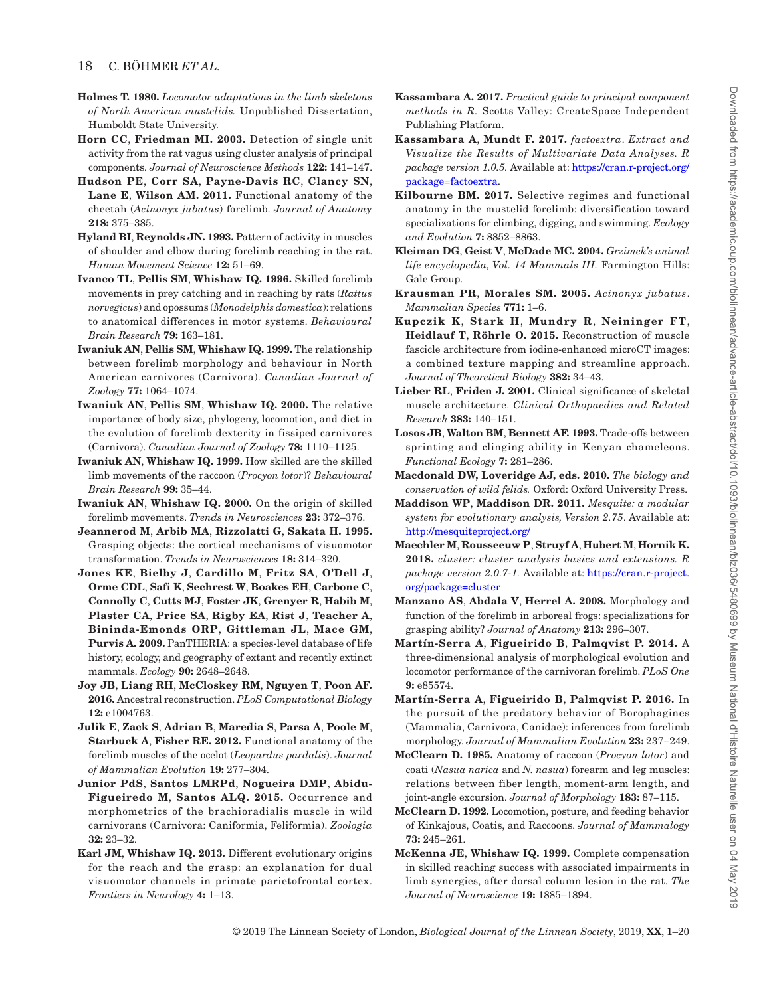- <span id="page-17-0"></span>**Holmes T. 1980.** *Locomotor adaptations in the limb skeletons of North American mustelids.* Unpublished Dissertation, Humboldt State University.
- <span id="page-17-25"></span>**Horn CC**, **Friedman MI. 2003.** Detection of single unit activity from the rat vagus using cluster analysis of principal components. *Journal of Neuroscience Methods* **122:** 141–147.
- <span id="page-17-6"></span>**Hudson PE**, **Corr SA**, **Payne-Davis RC**, **Clancy SN**, **Lane E**, **Wilson AM. 2011.** Functional anatomy of the cheetah (*Acinonyx jubatus*) forelimb. *Journal of Anatomy* **218:** 375–385.
- <span id="page-17-9"></span>**Hyland BI**, **Reynolds JN. 1993.** Pattern of activity in muscles of shoulder and elbow during forelimb reaching in the rat. *Human Movement Science* **12:** 51–69.
- <span id="page-17-10"></span>**Ivanco TL**, **Pellis SM**, **Whishaw IQ. 1996.** Skilled forelimb movements in prey catching and in reaching by rats (*Rattus norvegicus*) and opossums (*Monodelphis domestica*): relations to anatomical differences in motor systems. *Behavioural Brain Research* **79:** 163–181.
- <span id="page-17-1"></span>**Iwaniuk AN**, **Pellis SM**, **Whishaw IQ. 1999.** The relationship between forelimb morphology and behaviour in North American carnivores (Carnivora). *Canadian Journal of Zoology* **77:** 1064–1074.
- <span id="page-17-14"></span>**Iwaniuk AN**, **Pellis SM**, **Whishaw IQ. 2000.** The relative importance of body size, phylogeny, locomotion, and diet in the evolution of forelimb dexterity in fissiped carnivores (Carnivora). *Canadian Journal of Zoology* **78:** 1110–1125.
- <span id="page-17-12"></span>**Iwaniuk AN**, **Whishaw IQ. 1999.** How skilled are the skilled limb movements of the raccoon (*Procyon lotor*)? *Behavioural Brain Research* **99:** 35–44.
- <span id="page-17-28"></span>**Iwaniuk AN**, **Whishaw IQ. 2000.** On the origin of skilled forelimb movements. *Trends in Neurosciences* **23:** 372–376.
- <span id="page-17-13"></span>**Jeannerod M**, **Arbib MA**, **Rizzolatti G**, **Sakata H. 1995.**  Grasping objects: the cortical mechanisms of visuomotor transformation. *Trends in Neurosciences* **18:** 314–320.
- <span id="page-17-18"></span>**Jones KE**, **Bielby J**, **Cardillo M**, **Fritz SA**, **O'Dell J**, **Orme CDL**, **Safi K**, **Sechrest W**, **Boakes EH**, **Carbone C**, **Connolly C**, **Cutts MJ**, **Foster JK**, **Grenyer R**, **Habib M**, **Plaster CA**, **Price SA**, **Rigby EA**, **Rist J**, **Teacher A**, **Bininda-Emonds ORP**, **Gittleman JL**, **Mace GM**, **Purvis A. 2009.** PanTHERIA: a species-level database of life history, ecology, and geography of extant and recently extinct mammals. *Ecology* **90:** 2648–2648.
- <span id="page-17-20"></span>**Joy JB**, **Liang RH**, **McCloskey RM**, **Nguyen T**, **Poon AF. 2016.** Ancestral reconstruction. *PLoS Computational Biology* **12:** e1004763.
- <span id="page-17-7"></span>**Julik E**, **Zack S**, **Adrian B**, **Maredia S**, **Parsa A**, **Poole M**, **Starbuck A**, **Fisher RE. 2012.** Functional anatomy of the forelimb muscles of the ocelot (*Leopardus pardalis*). *Journal of Mammalian Evolution* **19:** 277–304.
- <span id="page-17-8"></span>**Junior PdS**, **Santos LMRPd**, **Nogueira DMP**, **Abidu-Figueiredo M**, **Santos ALQ. 2015.** Occurrence and morphometrics of the brachioradialis muscle in wild carnivorans (Carnivora: Caniformia, Feliformia). *Zoologia* **32:** 23–32.
- <span id="page-17-31"></span>**Karl JM**, **Whishaw IQ. 2013.** Different evolutionary origins for the reach and the grasp: an explanation for dual visuomotor channels in primate parietofrontal cortex. *Frontiers in Neurology* **4:** 1–13.
- <span id="page-17-24"></span>**Kassambara A. 2017.** *Practical guide to principal component methods in R.* Scotts Valley: CreateSpace Independent Publishing Platform.
- <span id="page-17-23"></span>**Kassambara A**, **Mundt F. 2017.** *factoextra*. *Extract and Visualize the Results of Multivariate Data Analyses. R package version 1.0.5.* Available at: [https://cran.r-project.org/](https://cran.r-project.org/package=factoextra﻿) [package=factoextra.](https://cran.r-project.org/package=factoextra﻿)
- <span id="page-17-3"></span>**Kilbourne BM. 2017.** Selective regimes and functional anatomy in the mustelid forelimb: diversification toward specializations for climbing, digging, and swimming. *Ecology and Evolution* **7:** 8852–8863.
- <span id="page-17-17"></span>**Kleiman DG**, **Geist V**, **McDade MC. 2004.** *Grzimek's animal life encyclopedia, Vol. 14 Mammals III.* Farmington Hills: Gale Group.
- <span id="page-17-15"></span>**Krausman PR**, **Morales SM. 2005.** *Acinonyx jubatus*. *Mammalian Species* **771:** 1–6.
- <span id="page-17-21"></span>**Kupczik K**, **Stark H**, **Mundry R**, **Neininger FT**, **Heidlauf T**, **Röhrle O. 2015.** Reconstruction of muscle fascicle architecture from iodine-enhanced microCT images: a combined texture mapping and streamline approach. *Journal of Theoretical Biology* **382:** 34–43.
- <span id="page-17-22"></span>**Lieber RL**, **Friden J. 2001.** Clinical significance of skeletal muscle architecture. *Clinical Orthopaedics and Related Research* **383:** 140–151.
- <span id="page-17-5"></span>**Losos JB**, **Walton BM**, **Bennett AF. 1993.** Trade-offs between sprinting and clinging ability in Kenyan chameleons. *Functional Ecology* **7:** 281–286.
- <span id="page-17-16"></span>**Macdonald DW, Loveridge AJ, eds. 2010.** *The biology and conservation of wild felids.* Oxford: Oxford University Press.
- <span id="page-17-19"></span>**Maddison WP**, **Maddison DR. 2011.** *Mesquite: a modular system for evolutionary analysis, Version 2.75*. Available at: [http://mesquiteproject.org/](http://mesquiteproject.org/﻿)
- <span id="page-17-26"></span>**Maechler M**, **Rousseeuw P**, **Struyf A**, **Hubert M**, **Hornik K. 2018.** *cluster: cluster analysis basics and extensions. R package version 2.0.7-1.* Available at: [https://cran.r-project.](https://cran.r-project.org/package=cluster) [org/package=cluster](https://cran.r-project.org/package=cluster)
- <span id="page-17-30"></span>**Manzano AS**, **Abdala V**, **Herrel A. 2008.** Morphology and function of the forelimb in arboreal frogs: specializations for grasping ability? *Journal of Anatomy* **213:** 296–307.
- <span id="page-17-2"></span>**Martín-Serra A**, **Figueirido B**, **Palmqvist P. 2014.** A three-dimensional analysis of morphological evolution and locomotor performance of the carnivoran forelimb. *PLoS One* **9:** e85574.
- <span id="page-17-27"></span>**Martín-Serra A**, **Figueirido B**, **Palmqvist P. 2016.** In the pursuit of the predatory behavior of Borophagines (Mammalia, Carnivora, Canidae): inferences from forelimb morphology. *Journal of Mammalian Evolution* **23:** 237–249.
- <span id="page-17-29"></span>**McClearn D. 1985.** Anatomy of raccoon (*Procyon lotor*) and coati (*Nasua narica* and *N. nasua*) forearm and leg muscles: relations between fiber length, moment-arm length, and joint-angle excursion. *Journal of Morphology* **183:** 87–115.
- <span id="page-17-4"></span>**McClearn D. 1992.** Locomotion, posture, and feeding behavior of Kinkajous, Coatis, and Raccoons. *Journal of Mammalogy* **73:** 245–261.
- <span id="page-17-11"></span>**McKenna JE**, **Whishaw IQ. 1999.** Complete compensation in skilled reaching success with associated impairments in limb synergies, after dorsal column lesion in the rat. *The Journal of Neuroscience* **19:** 1885–1894.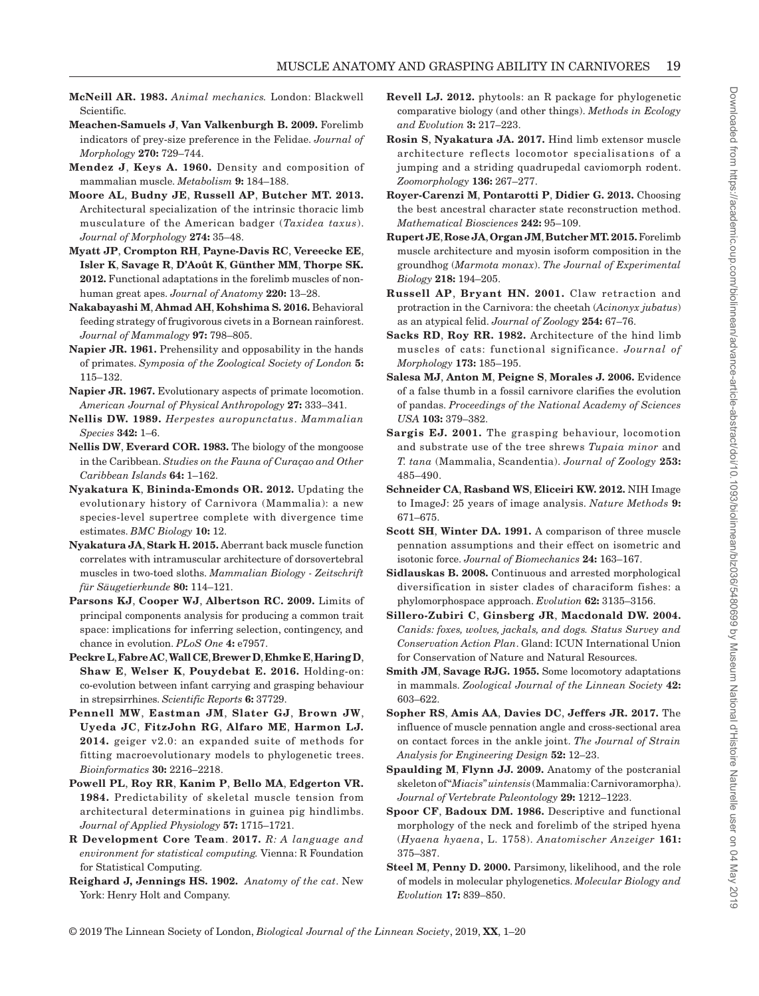- <span id="page-18-4"></span>**McNeill AR. 1983.** *Animal mechanics.* London: Blackwell **Scientific**
- **Meachen-Samuels J**, **Van Valkenburgh B. 2009.** Forelimb indicators of prey-size preference in the Felidae. *Journal of Morphology* **270:** 729–744.
- <span id="page-18-3"></span>**Mendez J**, **Keys A. 1960.** Density and composition of mammalian muscle. *Metabolism* **9:** 184–188.
- <span id="page-18-22"></span>**Moore AL**, **Budny JE**, **Russell AP**, **Butcher MT. 2013.**  Architectural specialization of the intrinsic thoracic limb musculature of the American badger (*Taxidea taxus*). *Journal of Morphology* **274:** 35–48.
- <span id="page-18-2"></span>**Myatt JP**, **Crompton RH**, **Payne-Davis RC**, **Vereecke EE**, **Isler K**, **Savage R**, **D'Août K**, **Günther MM**, **Thorpe SK. 2012.** Functional adaptations in the forelimb muscles of nonhuman great apes. *Journal of Anatomy* **220:** 13–28.
- <span id="page-18-11"></span>**Nakabayashi M**, **Ahmad AH**, **Kohshima S. 2016.** Behavioral feeding strategy of frugivorous civets in a Bornean rainforest. *Journal of Mammalogy* **97:** 798–805.
- <span id="page-18-7"></span>**Napier JR. 1961.** Prehensility and opposability in the hands of primates. *Symposia of the Zoological Society of London* **5:**  115–132.
- <span id="page-18-32"></span>**Napier JR. 1967.** Evolutionary aspects of primate locomotion. *American Journal of Physical Anthropology* **27:** 333–341.
- <span id="page-18-9"></span>**Nellis DW. 1989.** *Herpestes auropunctatus*. *Mammalian Species* **342:** 1–6.
- <span id="page-18-10"></span>**Nellis DW**, **Everard COR. 1983.** The biology of the mongoose in the Caribbean. *Studies on the Fauna of Curaçao and Other Caribbean Islands* **64:** 1–162.
- <span id="page-18-6"></span>**Nyakatura K**, **Bininda-Emonds OR. 2012.** Updating the evolutionary history of Carnivora (Mammalia): a new species-level supertree complete with divergence time estimates. *BMC Biology* **10:** 12.
- <span id="page-18-18"></span>**Nyakatura JA**, **Stark H. 2015.** Aberrant back muscle function correlates with intramuscular architecture of dorsovertebral muscles in two-toed sloths. *Mammalian Biology - Zeitschrift für Säugetierkunde* **80:** 114–121.
- <span id="page-18-25"></span>**Parsons KJ**, **Cooper WJ**, **Albertson RC. 2009.** Limits of principal components analysis for producing a common trait space: implications for inferring selection, contingency, and chance in evolution. *PLoS One* **4:** e7957.
- <span id="page-18-0"></span>**Peckre L**, **FabreAC**, **WallCE**, **Brewer D**, **EhmkeE**, **Haring D**, **Shaw E**, **Welser K**, **Pouydebat E. 2016.** Holding-on: co-evolution between infant carrying and grasping behaviour in strepsirrhines. *Scientific Reports* **6:** 37729.
- <span id="page-18-28"></span>**Pennell MW**, **Eastman JM**, **Slater GJ**, **Brown JW**, **Uyeda JC**, **FitzJohn RG**, **Alfaro ME**, **Harmon LJ. 2014.** geiger v2.0: an expanded suite of methods for fitting macroevolutionary models to phylogenetic trees. *Bioinformatics* **30:** 2216–2218.
- <span id="page-18-16"></span>**Powell PL**, **Roy RR**, **Kanim P**, **Bello MA**, **Edgerton VR. 1984.** Predictability of skeletal muscle tension from architectural determinations in guinea pig hindlimbs. *Journal of Applied Physiology* **57:** 1715–1721.
- <span id="page-18-24"></span>**R Development Core Team**. **2017.** *R: A language and environment for statistical computing.* Vienna: R Foundation for Statistical Computing.
- <span id="page-18-14"></span>**Reighard J, Jennings HS. 1902.** *Anatomy of the cat*. New York: Henry Holt and Company.
- <span id="page-18-26"></span>**Revell LJ. 2012.** phytools: an R package for phylogenetic comparative biology (and other things). *Methods in Ecology and Evolution* **3:** 217–223.
- <span id="page-18-20"></span>**Rosin S**, **Nyakatura JA. 2017.** Hind limb extensor muscle architecture reflects locomotor specialisations of a jumping and a striding quadrupedal caviomorph rodent. *Zoomorphology* **136:** 267–277.
- <span id="page-18-13"></span>**Royer-Carenzi M**, **Pontarotti P**, **Didier G. 2013.** Choosing the best ancestral character state reconstruction method. *Mathematical Biosciences* **242:** 95–109.
- <span id="page-18-19"></span>**Rupert JE**, **Rose JA**, **OrganJM**, **Butcher MT. 2015.** Forelimb muscle architecture and myosin isoform composition in the groundhog (*Marmota monax*). *The Journal of Experimental Biology* **218:** 194–205.
- <span id="page-18-30"></span>**Russell AP**, **Bryant HN. 2001.** Claw retraction and protraction in the Carnivora: the cheetah (*Acinonyx jubatus*) as an atypical felid. *Journal of Zoology* **254:** 67–76.
- <span id="page-18-17"></span>**Sacks RD**, **Roy RR. 1982.** Architecture of the hind limb muscles of cats: functional significance. *Journal of Morphology* **173:** 185–195.
- <span id="page-18-33"></span>**Salesa MJ**, **Anton M**, **Peigne S**, **Morales J. 2006.** Evidence of a false thumb in a fossil carnivore clarifies the evolution of pandas. *Proceedings of the National Academy of Sciences USA* **103:** 379–382.
- <span id="page-18-5"></span>**Sargis EJ. 2001.** The grasping behaviour, locomotion and substrate use of the tree shrews *Tupaia minor* and *T. tana* (Mammalia, Scandentia). *Journal of Zoology* **253:**  485–490.
- <span id="page-18-15"></span>**Schneider CA**, **Rasband WS**, **Eliceiri KW. 2012.** NIH Image to ImageJ: 25 years of image analysis. *Nature Methods* **9:**  671–675.
- <span id="page-18-21"></span>**Scott SH**, **Winter DA. 1991.** A comparison of three muscle pennation assumptions and their effect on isometric and isotonic force. *Journal of Biomechanics* **24:** 163–167.
- <span id="page-18-27"></span>**Sidlauskas B. 2008.** Continuous and arrested morphological diversification in sister clades of characiform fishes: a phylomorphospace approach. *Evolution* **62:** 3135–3156.
- <span id="page-18-8"></span>**Sillero-Zubiri C**, **Ginsberg JR**, **Macdonald DW. 2004.**  *Canids: foxes, wolves, jackals, and dogs. Status Survey and Conservation Action Plan*. Gland: ICUN International Union for Conservation of Nature and Natural Resources.
- <span id="page-18-1"></span>**Smith JM**, **Savage RJG. 1955.** Some locomotory adaptations in mammals. *Zoological Journal of the Linnean Society* **42:**  603–622.
- <span id="page-18-23"></span>**Sopher RS**, **Amis AA**, **Davies DC**, **Jeffers JR. 2017.** The influence of muscle pennation angle and cross-sectional area on contact forces in the ankle joint. *The Journal of Strain Analysis for Engineering Design* **52:** 12–23.
- <span id="page-18-29"></span>**Spaulding M**, **Flynn JJ. 2009.** Anatomy of the postcranial skeleton of "*Miacis*" *uintensis* (Mammalia: Carnivoramorpha). *Journal of Vertebrate Paleontology* **29:** 1212–1223.
- <span id="page-18-31"></span>**Spoor CF**, **Badoux DM. 1986.** Descriptive and functional morphology of the neck and forelimb of the striped hyena (*Hyaena hyaena*, L. 1758). *Anatomischer Anzeiger* **161:**  375–387.
- <span id="page-18-12"></span>**Steel M**, **Penny D. 2000.** Parsimony, likelihood, and the role of models in molecular phylogenetics. *Molecular Biology and Evolution* **17:** 839–850.